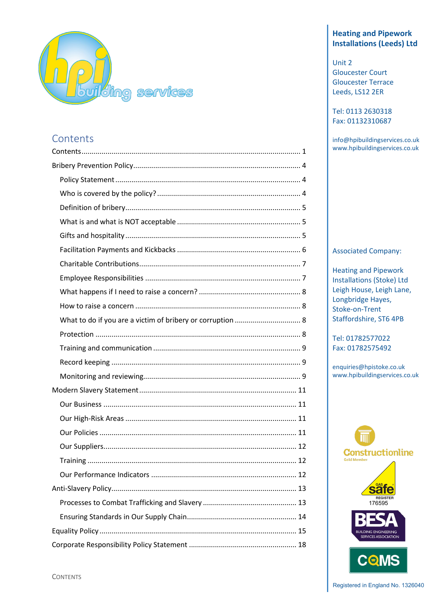

# **Contents**

# **Heating and Pipework Installations (Leeds) Ltd**

Unit 2 Gloucester Court Gloucester Terrace Leeds, LS12 2ER

Tel: 0113 2630318 Fax: 01132310687

info@hpibuildingservices.co.uk www.hpibuildingservices.co.uk

## Associated Company:

Heating and Pipework Installations (Stoke) Ltd Leigh House, Leigh Lane, Longbridge Hayes, Stoke-on-Trent Staffordshire, ST6 4PB

Tel: 01782577022 Fax: 01782575492

enquiries@hpistoke.co.uk www.hpibuildingservices.co.uk



**CONTENTS**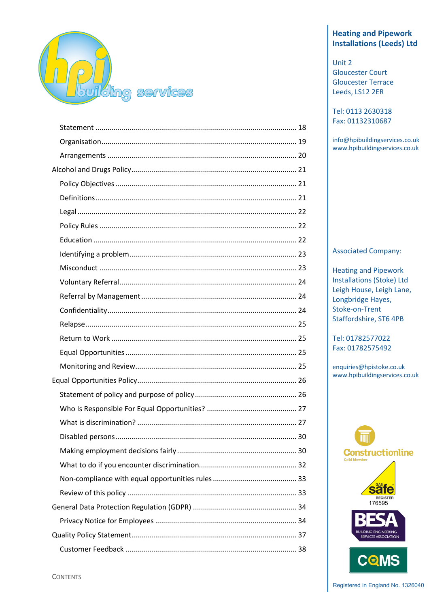

# **Heating and Pipework Installations (Leeds) Ltd**

Unit 2 **Gloucester Court Gloucester Terrace** Leeds, LS12 2ER

Tel: 0113 2630318 Fax: 01132310687

info@hpibuildingservices.co.uk www.hpibuildingservices.co.uk

## **Associated Company:**

**Heating and Pipework Installations (Stoke) Ltd** Leigh House, Leigh Lane, Longbridge Hayes, **Stoke-on-Trent** Staffordshire, ST6 4PB

Tel: 01782577022 Fax: 01782575492

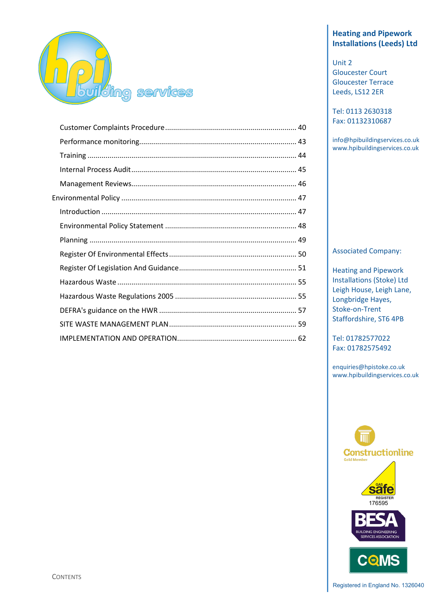

# **Heating and Pipework Installations (Leeds) Ltd**

Unit 2 Gloucester Court Gloucester Terrace Leeds, LS12 2ER

Tel: 0113 2630318 Fax: 01132310687

info@hpibuildingservices.co.uk www.hpibuildingservices.co.uk

## Associated Company:

Heating and Pipework Installations (Stoke) Ltd Leigh House, Leigh Lane, Longbridge Hayes, Stoke-on-Trent Staffordshire, ST6 4PB

Tel: 01782577022 Fax: 01782575492

enquiries@hpistoke.co.uk www.hpibuildingservices.co.uk

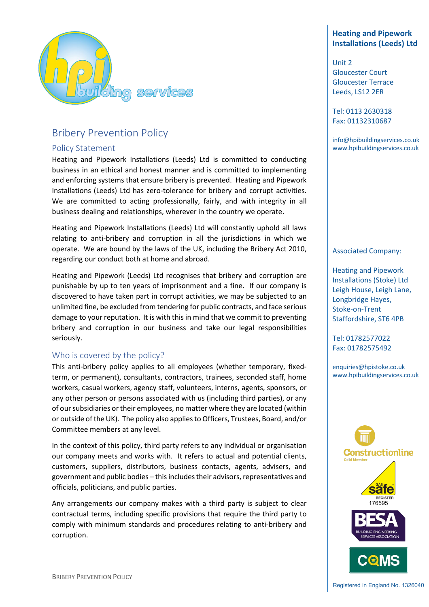

# Bribery Prevention Policy

# Policy Statement

Heating and Pipework Installations (Leeds) Ltd is committed to conducting business in an ethical and honest manner and is committed to implementing and enforcing systems that ensure bribery is prevented. Heating and Pipework Installations (Leeds) Ltd has zero-tolerance for bribery and corrupt activities. We are committed to acting professionally, fairly, and with integrity in all business dealing and relationships, wherever in the country we operate.

Heating and Pipework Installations (Leeds) Ltd will constantly uphold all laws relating to anti-bribery and corruption in all the jurisdictions in which we operate. We are bound by the laws of the UK, including the Bribery Act 2010, regarding our conduct both at home and abroad.

Heating and Pipework (Leeds) Ltd recognises that bribery and corruption are punishable by up to ten years of imprisonment and a fine. If our company is discovered to have taken part in corrupt activities, we may be subjected to an unlimited fine, be excluded from tendering for public contracts, and face serious damage to your reputation. It is with this in mind that we commit to preventing bribery and corruption in our business and take our legal responsibilities seriously.

# Who is covered by the policy?

This anti-bribery policy applies to all employees (whether temporary, fixedterm, or permanent), consultants, contractors, trainees, seconded staff, home workers, casual workers, agency staff, volunteers, interns, agents, sponsors, or any other person or persons associated with us (including third parties), or any of our subsidiaries or their employees, no matter where they are located (within or outside of the UK). The policy also applies to Officers, Trustees, Board, and/or Committee members at any level.

In the context of this policy, third party refers to any individual or organisation our company meets and works with. It refers to actual and potential clients, customers, suppliers, distributors, business contacts, agents, advisers, and government and public bodies – this includes their advisors, representatives and officials, politicians, and public parties.

Any arrangements our company makes with a third party is subject to clear contractual terms, including specific provisions that require the third party to comply with minimum standards and procedures relating to anti-bribery and corruption.

# **Heating and Pipework Installations (Leeds) Ltd**

Unit 2 Gloucester Court Gloucester Terrace Leeds, LS12 2ER

Tel: 0113 2630318 Fax: 01132310687

info@hpibuildingservices.co.uk www.hpibuildingservices.co.uk

#### Associated Company:

Heating and Pipework Installations (Stoke) Ltd Leigh House, Leigh Lane, Longbridge Hayes, Stoke-on-Trent Staffordshire, ST6 4PB

Tel: 01782577022 Fax: 01782575492

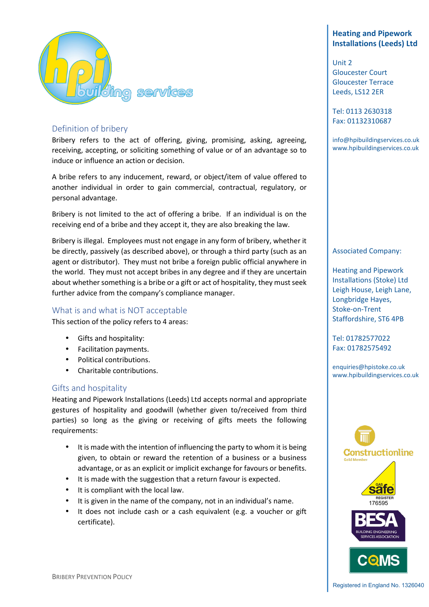

# Definition of bribery

Bribery refers to the act of offering, giving, promising, asking, agreeing, receiving, accepting, or soliciting something of value or of an advantage so to induce or influence an action or decision.

A bribe refers to any inducement, reward, or object/item of value offered to another individual in order to gain commercial, contractual, regulatory, or personal advantage.

Bribery is not limited to the act of offering a bribe. If an individual is on the receiving end of a bribe and they accept it, they are also breaking the law.

Bribery is illegal. Employees must not engage in any form of bribery, whether it be directly, passively (as described above), or through a third party (such as an agent or distributor). They must not bribe a foreign public official anywhere in the world. They must not accept bribes in any degree and if they are uncertain about whether something is a bribe or a gift or act of hospitality, they must seek further advice from the company's compliance manager.

# What is and what is NOT acceptable

This section of the policy refers to 4 areas:

- Gifts and hospitality:
- Facilitation payments.
- Political contributions.
- Charitable contributions.

## Gifts and hospitality

Heating and Pipework Installations (Leeds) Ltd accepts normal and appropriate gestures of hospitality and goodwill (whether given to/received from third parties) so long as the giving or receiving of gifts meets the following requirements:

- It is made with the intention of influencing the party to whom it is being given, to obtain or reward the retention of a business or a business advantage, or as an explicit or implicit exchange for favours or benefits.
- It is made with the suggestion that a return favour is expected.
- It is compliant with the local law.
- It is given in the name of the company, not in an individual's name.
- It does not include cash or a cash equivalent (e.g. a voucher or gift certificate).

# **Heating and Pipework Installations (Leeds) Ltd**

Unit 2 Gloucester Court Gloucester Terrace Leeds, LS12 2ER

Tel: 0113 2630318 Fax: 01132310687

info@hpibuildingservices.co.uk www.hpibuildingservices.co.uk

#### Associated Company:

Heating and Pipework Installations (Stoke) Ltd Leigh House, Leigh Lane, Longbridge Hayes, Stoke-on-Trent Staffordshire, ST6 4PB

Tel: 01782577022 Fax: 01782575492

enquiries@hpistoke.co.uk www.hpibuildingservices.co.uk

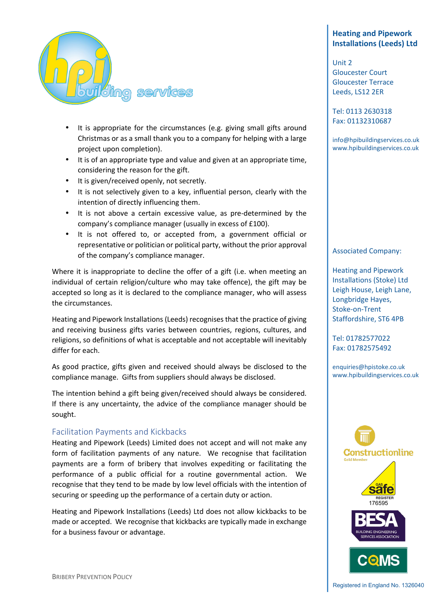

- It is appropriate for the circumstances (e.g. giving small gifts around Christmas or as a small thank you to a company for helping with a large project upon completion).
- It is of an appropriate type and value and given at an appropriate time, considering the reason for the gift.
- It is given/received openly, not secretly.
- It is not selectively given to a key, influential person, clearly with the intention of directly influencing them.
- It is not above a certain excessive value, as pre-determined by the company's compliance manager (usually in excess of £100).
- It is not offered to, or accepted from, a government official or representative or politician or political party, without the prior approval of the company's compliance manager.

Where it is inappropriate to decline the offer of a gift (i.e. when meeting an individual of certain religion/culture who may take offence), the gift may be accepted so long as it is declared to the compliance manager, who will assess the circumstances.

Heating and Pipework Installations (Leeds) recognises that the practice of giving and receiving business gifts varies between countries, regions, cultures, and religions, so definitions of what is acceptable and not acceptable will inevitably differ for each.

As good practice, gifts given and received should always be disclosed to the compliance manage. Gifts from suppliers should always be disclosed.

The intention behind a gift being given/received should always be considered. If there is any uncertainty, the advice of the compliance manager should be sought.

## Facilitation Payments and Kickbacks

Heating and Pipework (Leeds) Limited does not accept and will not make any form of facilitation payments of any nature. We recognise that facilitation payments are a form of bribery that involves expediting or facilitating the performance of a public official for a routine governmental action. We recognise that they tend to be made by low level officials with the intention of securing or speeding up the performance of a certain duty or action.

Heating and Pipework Installations (Leeds) Ltd does not allow kickbacks to be made or accepted. We recognise that kickbacks are typically made in exchange for a business favour or advantage.

# **Heating and Pipework Installations (Leeds) Ltd**

Unit 2 Gloucester Court Gloucester Terrace Leeds, LS12 2ER

Tel: 0113 2630318 Fax: 01132310687

info@hpibuildingservices.co.uk www.hpibuildingservices.co.uk

#### Associated Company:

Heating and Pipework Installations (Stoke) Ltd Leigh House, Leigh Lane, Longbridge Hayes, Stoke-on-Trent Staffordshire, ST6 4PB

Tel: 01782577022 Fax: 01782575492

enquiries@hpistoke.co.uk www.hpibuildingservices.co.uk

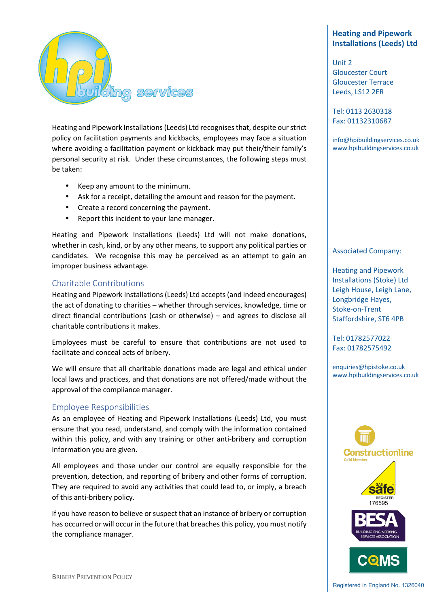

Heating and Pipework Installations (Leeds) Ltd recognises that, despite our strict policy on facilitation payments and kickbacks, employees may face a situation where avoiding a facilitation payment or kickback may put their/their family's personal security at risk. Under these circumstances, the following steps must be taken:

- Keep any amount to the minimum.
- Ask for a receipt, detailing the amount and reason for the payment.
- Create a record concerning the payment.
- Report this incident to your lane manager.

Heating and Pipework Installations (Leeds) Ltd will not make donations, whether in cash, kind, or by any other means, to support any political parties or candidates. We recognise this may be perceived as an attempt to gain an improper business advantage.

## Charitable Contributions

Heating and Pipework Installations (Leeds) Ltd accepts (and indeed encourages) the act of donating to charities – whether through services, knowledge, time or direct financial contributions (cash or otherwise) – and agrees to disclose all charitable contributions it makes.

Employees must be careful to ensure that contributions are not used to facilitate and conceal acts of bribery.

We will ensure that all charitable donations made are legal and ethical under local laws and practices, and that donations are not offered/made without the approval of the compliance manager.

## Employee Responsibilities

As an employee of Heating and Pipework Installations (Leeds) Ltd, you must ensure that you read, understand, and comply with the information contained within this policy, and with any training or other anti-bribery and corruption information you are given.

All employees and those under our control are equally responsible for the prevention, detection, and reporting of bribery and other forms of corruption. They are required to avoid any activities that could lead to, or imply, a breach of this anti-bribery policy.

If you have reason to believe or suspect that an instance of bribery or corruption has occurred or will occur in the future that breaches this policy, you must notify the compliance manager.

# **Heating and Pipework Installations (Leeds) Ltd**

Unit 2 Gloucester Court Gloucester Terrace Leeds, LS12 2ER

Tel: 0113 2630318 Fax: 01132310687

info@hpibuildingservices.co.uk www.hpibuildingservices.co.uk

#### Associated Company:

Heating and Pipework Installations (Stoke) Ltd Leigh House, Leigh Lane, Longbridge Hayes, Stoke-on-Trent Staffordshire, ST6 4PB

Tel: 01782577022 Fax: 01782575492

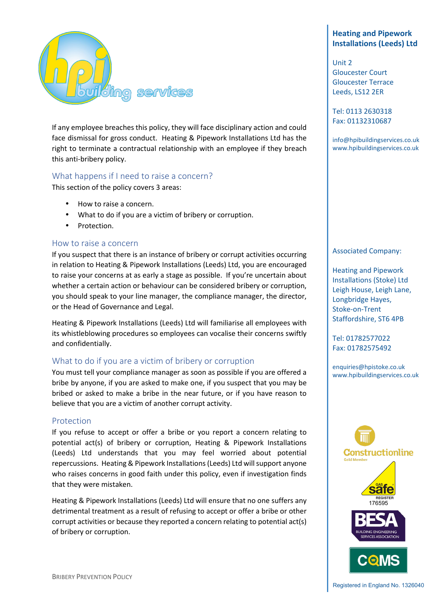

If any employee breaches this policy, they will face disciplinary action and could face dismissal for gross conduct. Heating & Pipework Installations Ltd has the right to terminate a contractual relationship with an employee if they breach this anti-bribery policy.

## What happens if I need to raise a concern?

This section of the policy covers 3 areas:

- How to raise a concern.
- What to do if you are a victim of bribery or corruption.
- Protection.

#### How to raise a concern

If you suspect that there is an instance of bribery or corrupt activities occurring in relation to Heating & Pipework Installations (Leeds) Ltd, you are encouraged to raise your concerns at as early a stage as possible. If you're uncertain about whether a certain action or behaviour can be considered bribery or corruption, you should speak to your line manager, the compliance manager, the director, or the Head of Governance and Legal.

Heating & Pipework Installations (Leeds) Ltd will familiarise all employees with its whistleblowing procedures so employees can vocalise their concerns swiftly and confidentially.

#### What to do if you are a victim of bribery or corruption

You must tell your compliance manager as soon as possible if you are offered a bribe by anyone, if you are asked to make one, if you suspect that you may be bribed or asked to make a bribe in the near future, or if you have reason to believe that you are a victim of another corrupt activity.

#### Protection

If you refuse to accept or offer a bribe or you report a concern relating to potential act(s) of bribery or corruption, Heating & Pipework Installations (Leeds) Ltd understands that you may feel worried about potential repercussions. Heating & Pipework Installations (Leeds) Ltd will support anyone who raises concerns in good faith under this policy, even if investigation finds that they were mistaken.

Heating & Pipework Installations (Leeds) Ltd will ensure that no one suffers any detrimental treatment as a result of refusing to accept or offer a bribe or other corrupt activities or because they reported a concern relating to potential act(s) of bribery or corruption.

# **Heating and Pipework Installations (Leeds) Ltd**

Unit 2 Gloucester Court Gloucester Terrace Leeds, LS12 2ER

Tel: 0113 2630318 Fax: 01132310687

info@hpibuildingservices.co.uk www.hpibuildingservices.co.uk

#### Associated Company:

Heating and Pipework Installations (Stoke) Ltd Leigh House, Leigh Lane, Longbridge Hayes, Stoke-on-Trent Staffordshire, ST6 4PB

Tel: 01782577022 Fax: 01782575492

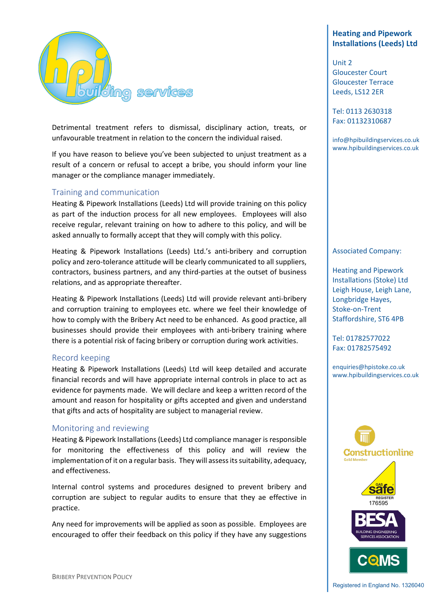

Detrimental treatment refers to dismissal, disciplinary action, treats, or unfavourable treatment in relation to the concern the individual raised.

If you have reason to believe you've been subjected to unjust treatment as a result of a concern or refusal to accept a bribe, you should inform your line manager or the compliance manager immediately.

## Training and communication

Heating & Pipework Installations (Leeds) Ltd will provide training on this policy as part of the induction process for all new employees. Employees will also receive regular, relevant training on how to adhere to this policy, and will be asked annually to formally accept that they will comply with this policy.

Heating & Pipework Installations (Leeds) Ltd.'s anti-bribery and corruption policy and zero-tolerance attitude will be clearly communicated to all suppliers, contractors, business partners, and any third-parties at the outset of business relations, and as appropriate thereafter.

Heating & Pipework Installations (Leeds) Ltd will provide relevant anti-bribery and corruption training to employees etc. where we feel their knowledge of how to comply with the Bribery Act need to be enhanced. As good practice, all businesses should provide their employees with anti-bribery training where there is a potential risk of facing bribery or corruption during work activities.

#### Record keeping

Heating & Pipework Installations (Leeds) Ltd will keep detailed and accurate financial records and will have appropriate internal controls in place to act as evidence for payments made. We will declare and keep a written record of the amount and reason for hospitality or gifts accepted and given and understand that gifts and acts of hospitality are subject to managerial review.

#### Monitoring and reviewing

Heating & Pipework Installations (Leeds) Ltd compliance manager is responsible for monitoring the effectiveness of this policy and will review the implementation of it on a regular basis. They will assess its suitability, adequacy, and effectiveness.

Internal control systems and procedures designed to prevent bribery and corruption are subject to regular audits to ensure that they ae effective in practice.

Any need for improvements will be applied as soon as possible. Employees are encouraged to offer their feedback on this policy if they have any suggestions

# **Heating and Pipework Installations (Leeds) Ltd**

Unit 2 Gloucester Court Gloucester Terrace Leeds, LS12 2ER

Tel: 0113 2630318 Fax: 01132310687

info@hpibuildingservices.co.uk www.hpibuildingservices.co.uk

#### Associated Company:

Heating and Pipework Installations (Stoke) Ltd Leigh House, Leigh Lane, Longbridge Hayes, Stoke-on-Trent Staffordshire, ST6 4PB

Tel: 01782577022 Fax: 01782575492

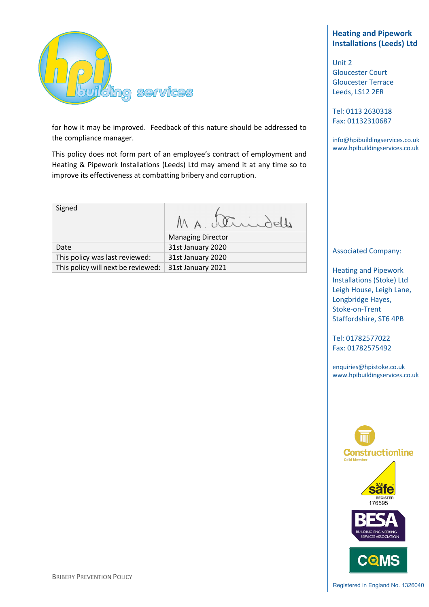

for how it may be improved. Feedback of this nature should be addressed to the compliance manager.

This policy does not form part of an employee's contract of employment and Heating & Pipework Installations (Leeds) Ltd may amend it at any time so to improve its effectiveness at combatting bribery and corruption.

Signed MA Strindelle Managing Director

Date 31st January 2020 This policy was last reviewed: 31st January 2020 This policy will next be reviewed:  $\vert$  31st January 2021

# **Heating and Pipework Installations (Leeds) Ltd**

Unit 2 Gloucester Court Gloucester Terrace Leeds, LS12 2ER

Tel: 0113 2630318 Fax: 01132310687

info@hpibuildingservices.co.uk www.hpibuildingservices.co.uk

#### Associated Company:

Heating and Pipework Installations (Stoke) Ltd Leigh House, Leigh Lane, Longbridge Hayes, Stoke-on-Trent Staffordshire, ST6 4PB

Tel: 01782577022 Fax: 01782575492

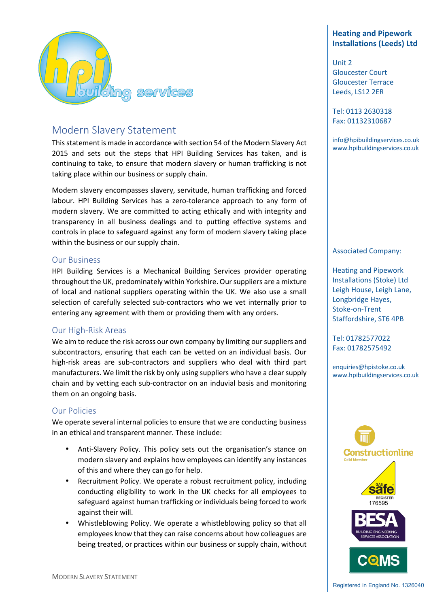

# Modern Slavery Statement

This statement is made in accordance with section 54 of the Modern Slavery Act 2015 and sets out the steps that HPI Building Services has taken, and is continuing to take, to ensure that modern slavery or human trafficking is not taking place within our business or supply chain.

Modern slavery encompasses slavery, servitude, human trafficking and forced labour. HPI Building Services has a zero-tolerance approach to any form of modern slavery. We are committed to acting ethically and with integrity and transparency in all business dealings and to putting effective systems and controls in place to safeguard against any form of modern slavery taking place within the business or our supply chain.

## Our Business

HPI Building Services is a Mechanical Building Services provider operating throughout the UK, predominately within Yorkshire. Our suppliers are a mixture of local and national suppliers operating within the UK. We also use a small selection of carefully selected sub-contractors who we vet internally prior to entering any agreement with them or providing them with any orders.

## Our High-Risk Areas

We aim to reduce the risk across our own company by limiting our suppliers and subcontractors, ensuring that each can be vetted on an individual basis. Our high-risk areas are sub-contractors and suppliers who deal with third part manufacturers. We limit the risk by only using suppliers who have a clear supply chain and by vetting each sub-contractor on an induvial basis and monitoring them on an ongoing basis.

## Our Policies

We operate several internal policies to ensure that we are conducting business in an ethical and transparent manner. These include:

- Anti-Slavery Policy. This policy sets out the organisation's stance on modern slavery and explains how employees can identify any instances of this and where they can go for help.
- Recruitment Policy. We operate a robust recruitment policy, including conducting eligibility to work in the UK checks for all employees to safeguard against human trafficking or individuals being forced to work against their will.
- Whistleblowing Policy. We operate a whistleblowing policy so that all employees know that they can raise concerns about how colleagues are being treated, or practices within our business or supply chain, without

# **Heating and Pipework Installations (Leeds) Ltd**

Unit 2 Gloucester Court Gloucester Terrace Leeds, LS12 2ER

Tel: 0113 2630318 Fax: 01132310687

info@hpibuildingservices.co.uk www.hpibuildingservices.co.uk

#### Associated Company:

Heating and Pipework Installations (Stoke) Ltd Leigh House, Leigh Lane, Longbridge Hayes, Stoke-on-Trent Staffordshire, ST6 4PB

Tel: 01782577022 Fax: 01782575492

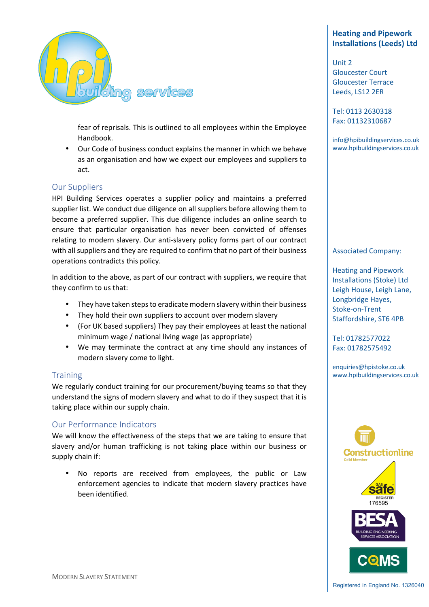

fear of reprisals. This is outlined to all employees within the Employee Handbook.

• Our Code of business conduct explains the manner in which we behave as an organisation and how we expect our employees and suppliers to act.

## Our Suppliers

HPI Building Services operates a supplier policy and maintains a preferred supplier list. We conduct due diligence on all suppliers before allowing them to become a preferred supplier. This due diligence includes an online search to ensure that particular organisation has never been convicted of offenses relating to modern slavery. Our anti-slavery policy forms part of our contract with all suppliers and they are required to confirm that no part of their business operations contradicts this policy.

In addition to the above, as part of our contract with suppliers, we require that they confirm to us that:

- They have taken steps to eradicate modern slavery within their business
- They hold their own suppliers to account over modern slavery
- (For UK based suppliers) They pay their employees at least the national minimum wage / national living wage (as appropriate)
- We may terminate the contract at any time should any instances of modern slavery come to light.

## **Training**

We regularly conduct training for our procurement/buying teams so that they understand the signs of modern slavery and what to do if they suspect that it is taking place within our supply chain.

## Our Performance Indicators

We will know the effectiveness of the steps that we are taking to ensure that slavery and/or human trafficking is not taking place within our business or supply chain if:

• No reports are received from employees, the public or Law enforcement agencies to indicate that modern slavery practices have been identified.

# **Heating and Pipework Installations (Leeds) Ltd**

Unit 2 Gloucester Court Gloucester Terrace Leeds, LS12 2ER

Tel: 0113 2630318 Fax: 01132310687

info@hpibuildingservices.co.uk www.hpibuildingservices.co.uk

#### Associated Company:

Heating and Pipework Installations (Stoke) Ltd Leigh House, Leigh Lane, Longbridge Hayes, Stoke-on-Trent Staffordshire, ST6 4PB

Tel: 01782577022 Fax: 01782575492

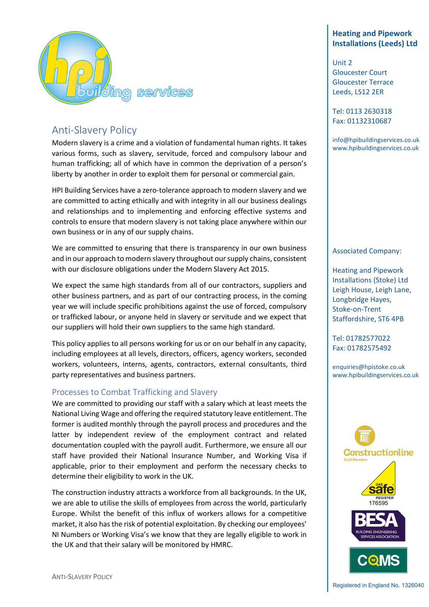

# Anti-Slavery Policy

Modern slavery is a crime and a violation of fundamental human rights. It takes various forms, such as slavery, servitude, forced and compulsory labour and human trafficking; all of which have in common the deprivation of a person's liberty by another in order to exploit them for personal or commercial gain.

HPI Building Services have a zero-tolerance approach to modern slavery and we are committed to acting ethically and with integrity in all our business dealings and relationships and to implementing and enforcing effective systems and controls to ensure that modern slavery is not taking place anywhere within our own business or in any of our supply chains.

We are committed to ensuring that there is transparency in our own business and in our approach to modern slavery throughout our supply chains, consistent with our disclosure obligations under the Modern Slavery Act 2015.

We expect the same high standards from all of our contractors, suppliers and other business partners, and as part of our contracting process, in the coming year we will include specific prohibitions against the use of forced, compulsory or trafficked labour, or anyone held in slavery or servitude and we expect that our suppliers will hold their own suppliers to the same high standard.

This policy applies to all persons working for us or on our behalf in any capacity, including employees at all levels, directors, officers, agency workers, seconded workers, volunteers, interns, agents, contractors, external consultants, third party representatives and business partners.

# Processes to Combat Trafficking and Slavery

We are committed to providing our staff with a salary which at least meets the National Living Wage and offering the required statutory leave entitlement. The former is audited monthly through the payroll process and procedures and the latter by independent review of the employment contract and related documentation coupled with the payroll audit. Furthermore, we ensure all our staff have provided their National Insurance Number, and Working Visa if applicable, prior to their employment and perform the necessary checks to determine their eligibility to work in the UK.

The construction industry attracts a workforce from all backgrounds. In the UK, we are able to utilise the skills of employees from across the world, particularly Europe. Whilst the benefit of this influx of workers allows for a competitive market, it also has the risk of potential exploitation. By checking our employees' NI Numbers or Working Visa's we know that they are legally eligible to work in the UK and that their salary will be monitored by HMRC.

# **Heating and Pipework Installations (Leeds) Ltd**

Unit 2 Gloucester Court Gloucester Terrace Leeds, LS12 2ER

Tel: 0113 2630318 Fax: 01132310687

info@hpibuildingservices.co.uk www.hpibuildingservices.co.uk

#### Associated Company:

Heating and Pipework Installations (Stoke) Ltd Leigh House, Leigh Lane, Longbridge Hayes, Stoke-on-Trent Staffordshire, ST6 4PB

Tel: 01782577022 Fax: 01782575492

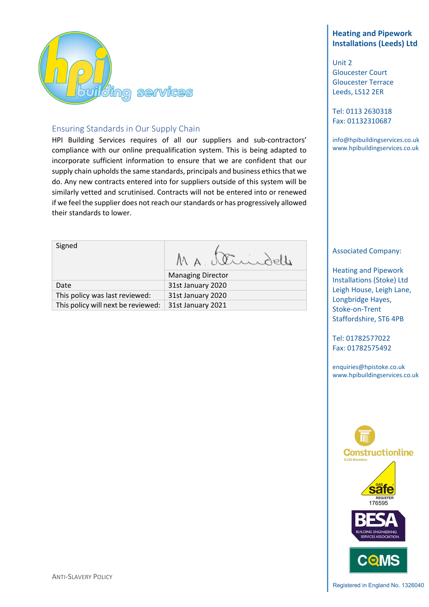

# Ensuring Standards in Our Supply Chain

HPI Building Services requires of all our suppliers and sub-contractors' compliance with our online prequalification system. This is being adapted to incorporate sufficient information to ensure that we are confident that our supply chain upholds the same standards, principals and business ethics that we do. Any new contracts entered into for suppliers outside of this system will be similarly vetted and scrutinised. Contracts will not be entered into or renewed if we feel the supplier does not reach our standards or has progressively allowed their standards to lower.

| Signed                         | MA, Ulindelle            |  |  |
|--------------------------------|--------------------------|--|--|
|                                | <b>Managing Director</b> |  |  |
| Date                           | 31st January 2020        |  |  |
| This policy was last reviewed: | 31st January 2020        |  |  |

This policy will next be reviewed:  $\vert$  31st January 2021

# **Heating and Pipework Installations (Leeds) Ltd**

Unit 2 Gloucester Court Gloucester Terrace Leeds, LS12 2ER

Tel: 0113 2630318 Fax: 01132310687

info@hpibuildingservices.co.uk www.hpibuildingservices.co.uk

#### Associated Company:

Heating and Pipework Installations (Stoke) Ltd Leigh House, Leigh Lane, Longbridge Hayes, Stoke-on-Trent Staffordshire, ST6 4PB

Tel: 01782577022 Fax: 01782575492

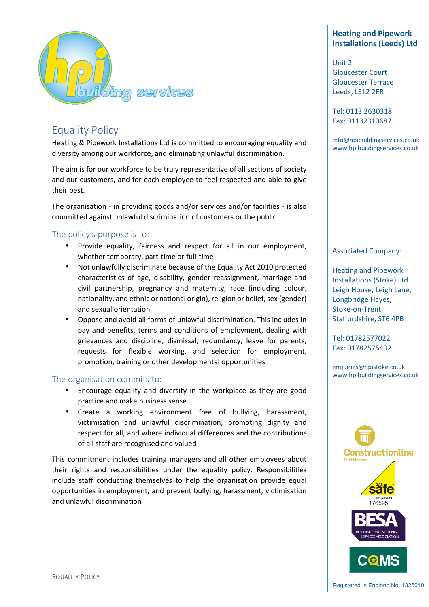

# Equality Policy

Heating & Pipework Installations Ltd is committed to encouraging equality and diversity among our workforce, and eliminating unlawful discrimination.

The aim is for our workforce to be truly representative of all sections of society and our customers, and for each employee to feel respected and able to give their best.

The organisation - in providing goods and/or services and/or facilities - is also committed against unlawful discrimination of customers or the public

# The policy's purpose is to:

- Provide equality, fairness and respect for all in our employment, whether temporary, part-time or full-time
- Not unlawfully discriminate because of the Equality Act 2010 protected characteristics of age, disability, gender reassignment, marriage and civil partnership, pregnancy and maternity, race (including colour, nationality, and ethnic or national origin), religion or belief, sex (gender) and sexual orientation
- Oppose and avoid all forms of unlawful discrimination. This includes in pay and benefits, terms and conditions of employment, dealing with grievances and discipline, dismissal, redundancy, leave for parents, requests for flexible working, and selection for employment, promotion, training or other developmental opportunities

## The organisation commits to:

- Encourage equality and diversity in the workplace as they are good practice and make business sense
- Create a working environment free of bullying, harassment, victimisation and unlawful discrimination, promoting dignity and respect for all, and where individual differences and the contributions of all staff are recognised and valued

This commitment includes training managers and all other employees about their rights and responsibilities under the equality policy. Responsibilities include staff conducting themselves to help the organisation provide equal opportunities in employment, and prevent bullying, harassment, victimisation and unlawful discrimination

# **Heating and Pipework Installations (Leeds) Ltd**

Unit 2 Gloucester Court Gloucester Terrace Leeds, LS12 2ER

Tel: 0113 2630318 Fax: 01132310687

info@hpibuildingservices.co.uk www.hpibuildingservices.co.uk

#### Associated Company:

Heating and Pipework Installations (Stoke) Ltd Leigh House, Leigh Lane, Longbridge Hayes, Stoke-on-Trent Staffordshire, ST6 4PB

Tel: 01782577022 Fax: 01782575492

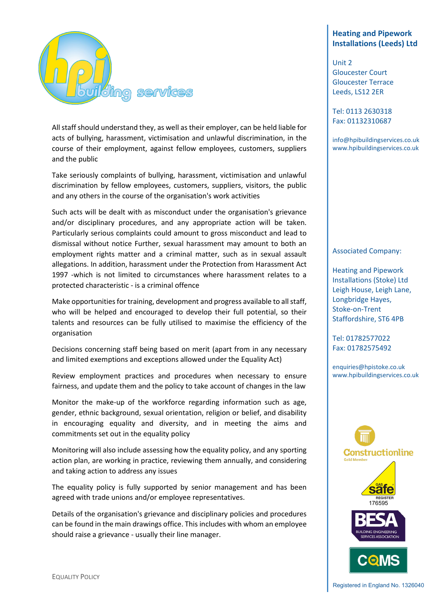

All staff should understand they, as well as their employer, can be held liable for acts of bullying, harassment, victimisation and unlawful discrimination, in the course of their employment, against fellow employees, customers, suppliers and the public

Take seriously complaints of bullying, harassment, victimisation and unlawful discrimination by fellow employees, customers, suppliers, visitors, the public and any others in the course of the organisation's work activities

Such acts will be dealt with as misconduct under the organisation's grievance and/or disciplinary procedures, and any appropriate action will be taken. Particularly serious complaints could amount to gross misconduct and lead to dismissal without notice Further, sexual harassment may amount to both an employment rights matter and a criminal matter, such as in sexual assault allegations. In addition, harassment under the Protection from Harassment Act 1997 -which is not limited to circumstances where harassment relates to a protected characteristic - is a criminal offence

Make opportunities for training, development and progress available to all staff, who will be helped and encouraged to develop their full potential, so their talents and resources can be fully utilised to maximise the efficiency of the organisation

Decisions concerning staff being based on merit (apart from in any necessary and limited exemptions and exceptions allowed under the Equality Act)

Review employment practices and procedures when necessary to ensure fairness, and update them and the policy to take account of changes in the law

Monitor the make-up of the workforce regarding information such as age, gender, ethnic background, sexual orientation, religion or belief, and disability in encouraging equality and diversity, and in meeting the aims and commitments set out in the equality policy

Monitoring will also include assessing how the equality policy, and any sporting action plan, are working in practice, reviewing them annually, and considering and taking action to address any issues

The equality policy is fully supported by senior management and has been agreed with trade unions and/or employee representatives.

Details of the organisation's grievance and disciplinary policies and procedures can be found in the main drawings office. This includes with whom an employee should raise a grievance - usually their line manager.

# **Heating and Pipework Installations (Leeds) Ltd**

Unit 2 Gloucester Court Gloucester Terrace Leeds, LS12 2ER

Tel: 0113 2630318 Fax: 01132310687

info@hpibuildingservices.co.uk www.hpibuildingservices.co.uk

#### Associated Company:

Heating and Pipework Installations (Stoke) Ltd Leigh House, Leigh Lane, Longbridge Hayes, Stoke-on-Trent Staffordshire, ST6 4PB

Tel: 01782577022 Fax: 01782575492

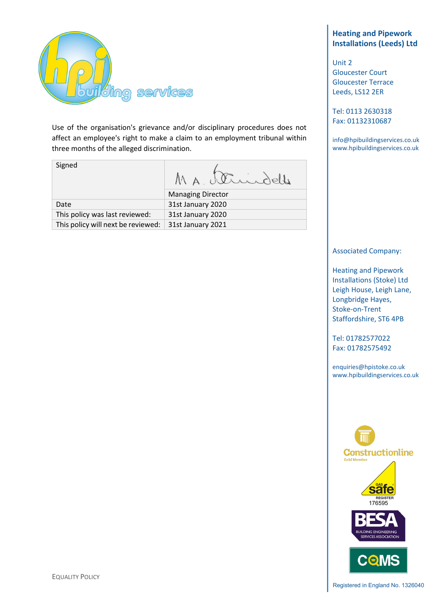

Use of the organisation's grievance and/or disciplinary procedures does not affect an employee's right to make a claim to an employment tribunal within three months of the alleged discrimination.

| Signed |                   |
|--------|-------------------|
|        | Managing Director |
| __     | ---<br>----       |

| Date                                                   | 31st January 2020 |
|--------------------------------------------------------|-------------------|
| This policy was last reviewed:                         | 31st January 2020 |
| This policy will next be reviewed:   31st January 2021 |                   |

# **Heating and Pipework Installations (Leeds) Ltd**

Unit 2 Gloucester Court Gloucester Terrace Leeds, LS12 2ER

Tel: 0113 2630318 Fax: 01132310687

info@hpibuildingservices.co.uk www.hpibuildingservices.co.uk

## Associated Company:

Heating and Pipework Installations (Stoke) Ltd Leigh House, Leigh Lane, Longbridge Hayes, Stoke-on-Trent Staffordshire, ST6 4PB

Tel: 01782577022 Fax: 01782575492

enquiries@hpistoke.co.uk www.hpibuildingservices.co.uk



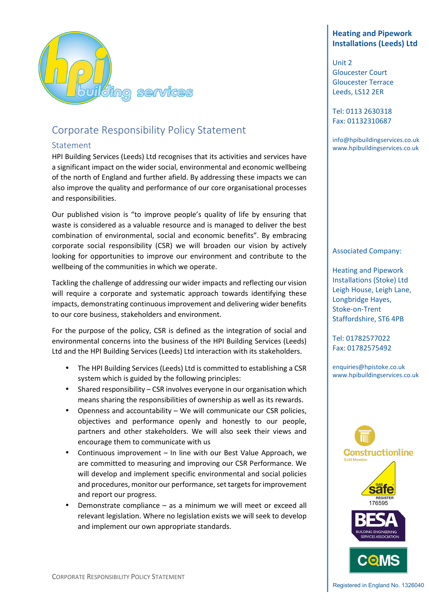

# Corporate Responsibility Policy Statement

## Statement

HPI Building Services (Leeds) Ltd recognises that its activities and services have a significant impact on the wider social, environmental and economic wellbeing of the north of England and further afield. By addressing these impacts we can also improve the quality and performance of our core organisational processes and responsibilities.

Our published vision is "to improve people's quality of life by ensuring that waste is considered as a valuable resource and is managed to deliver the best combination of environmental, social and economic benefits". By embracing corporate social responsibility (CSR) we will broaden our vision by actively looking for opportunities to improve our environment and contribute to the wellbeing of the communities in which we operate.

Tackling the challenge of addressing our wider impacts and reflecting our vision will require a corporate and systematic approach towards identifying these impacts, demonstrating continuous improvement and delivering wider benefits to our core business, stakeholders and environment.

For the purpose of the policy, CSR is defined as the integration of social and environmental concerns into the business of the HPI Building Services (Leeds) Ltd and the HPI Building Services (Leeds) Ltd interaction with its stakeholders.

- The HPI Building Services (Leeds) Ltd is committed to establishing a CSR system which is guided by the following principles:
- Shared responsibility CSR involves everyone in our organisation which means sharing the responsibilities of ownership as well as its rewards.
- Openness and accountability We will communicate our CSR policies, objectives and performance openly and honestly to our people, partners and other stakeholders. We will also seek their views and encourage them to communicate with us
- Continuous improvement In line with our Best Value Approach, we are committed to measuring and improving our CSR Performance. We will develop and implement specific environmental and social policies and procedures, monitor our performance, set targets for improvement and report our progress.
- Demonstrate compliance as a minimum we will meet or exceed all relevant legislation. Where no legislation exists we will seek to develop and implement our own appropriate standards.

# **Heating and Pipework Installations (Leeds) Ltd**

Unit 2 Gloucester Court Gloucester Terrace Leeds, LS12 2ER

Tel: 0113 2630318 Fax: 01132310687

info@hpibuildingservices.co.uk www.hpibuildingservices.co.uk

## Associated Company:

Heating and Pipework Installations (Stoke) Ltd Leigh House, Leigh Lane, Longbridge Hayes, Stoke-on-Trent Staffordshire, ST6 4PB

Tel: 01782577022 Fax: 01782575492

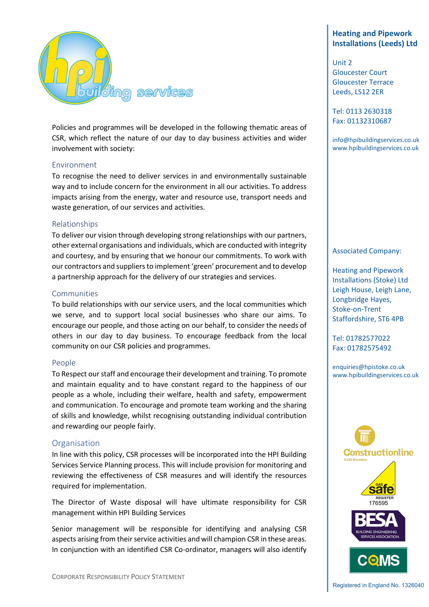

Policies and programmes will be developed in the following thematic areas of CSR, which reflect the nature of our day to day business activities and wider involvement with society:

#### Environment

To recognise the need to deliver services in and environmentally sustainable way and to include concern for the environment in all our activities. To address impacts arising from the energy, water and resource use, transport needs and waste generation, of our services and activities.

#### Relationships

To deliver our vision through developing strong relationships with our partners, other external organisations and individuals, which are conducted with integrity and courtesy, and by ensuring that we honour our commitments. To work with our contractors and suppliers to implement 'green' procurement and to develop a partnership approach for the delivery of our strategies and services.

#### Communities

To build relationships with our service users, and the local communities which we serve, and to support local social businesses who share our aims. To encourage our people, and those acting on our behalf, to consider the needs of others in our day to day business. To encourage feedback from the local community on our CSR policies and programmes.

#### People

To Respect our staff and encourage their development and training. To promote and maintain equality and to have constant regard to the happiness of our people as a whole, including their welfare, health and safety, empowerment and communication. To encourage and promote team working and the sharing of skills and knowledge, whilst recognising outstanding individual contribution and rewarding our people fairly.

#### Organisation

In line with this policy, CSR processes will be incorporated into the HPI Building Services Service Planning process. This will include provision for monitoring and reviewing the effectiveness of CSR measures and will identify the resources required for implementation.

The Director of Waste disposal will have ultimate responsibility for CSR management within HPI Building Services

Senior management will be responsible for identifying and analysing CSR aspects arising from their service activities and will champion CSR in these areas. In conjunction with an identified CSR Co-ordinator, managers will also identify

## **Heating and Pipework Installations (Leeds) Ltd**

Unit 2 Gloucester Court Gloucester Terrace Leeds, LS12 2ER

Tel: 0113 2630318 Fax: 01132310687

info@hpibuildingservices.co.uk www.hpibuildingservices.co.uk

#### Associated Company:

Heating and Pipework Installations (Stoke) Ltd Leigh House, Leigh Lane, Longbridge Hayes, Stoke-on-Trent Staffordshire, ST6 4PB

Tel: 01782577022 Fax: 01782575492

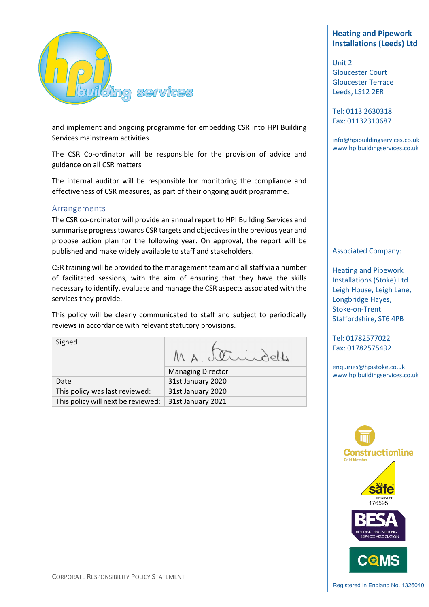

and implement and ongoing programme for embedding CSR into HPI Building Services mainstream activities.

The CSR Co-ordinator will be responsible for the provision of advice and guidance on all CSR matters

The internal auditor will be responsible for monitoring the compliance and effectiveness of CSR measures, as part of their ongoing audit programme.

## Arrangements

The CSR co-ordinator will provide an annual report to HPI Building Services and summarise progress towards CSR targets and objectives in the previous year and propose action plan for the following year. On approval, the report will be published and make widely available to staff and stakeholders.

CSR training will be provided to the management team and all staff via a number of facilitated sessions, with the aim of ensuring that they have the skills necessary to identify, evaluate and manage the CSR aspects associated with the services they provide.

This policy will be clearly communicated to staff and subject to periodically reviews in accordance with relevant statutory provisions.

Signed

MA Strindelle

|                                                        | <b>Managing Director</b> |
|--------------------------------------------------------|--------------------------|
| Date                                                   | 31st January 2020        |
| This policy was last reviewed:                         | 31st January 2020        |
| This policy will next be reviewed:   31st January 2021 |                          |

# **Heating and Pipework Installations (Leeds) Ltd**

Unit 2 Gloucester Court Gloucester Terrace Leeds, LS12 2ER

Tel: 0113 2630318 Fax: 01132310687

info@hpibuildingservices.co.uk www.hpibuildingservices.co.uk

#### Associated Company:

Heating and Pipework Installations (Stoke) Ltd Leigh House, Leigh Lane, Longbridge Hayes, Stoke-on-Trent Staffordshire, ST6 4PB

Tel: 01782577022 Fax: 01782575492

enquiries@hpistoke.co.uk www.hpibuildingservices.co.uk

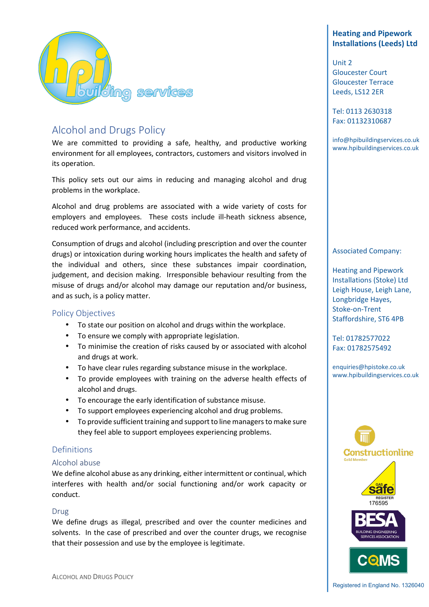

# Alcohol and Drugs Policy

We are committed to providing a safe, healthy, and productive working environment for all employees, contractors, customers and visitors involved in its operation.

This policy sets out our aims in reducing and managing alcohol and drug problems in the workplace.

Alcohol and drug problems are associated with a wide variety of costs for employers and employees. These costs include ill-heath sickness absence, reduced work performance, and accidents.

Consumption of drugs and alcohol (including prescription and over the counter drugs) or intoxication during working hours implicates the health and safety of the individual and others, since these substances impair coordination, judgement, and decision making. Irresponsible behaviour resulting from the misuse of drugs and/or alcohol may damage our reputation and/or business, and as such, is a policy matter.

## Policy Objectives

- To state our position on alcohol and drugs within the workplace.
- To ensure we comply with appropriate legislation.
- To minimise the creation of risks caused by or associated with alcohol and drugs at work.
- To have clear rules regarding substance misuse in the workplace.
- To provide employees with training on the adverse health effects of alcohol and drugs.
- To encourage the early identification of substance misuse.
- To support employees experiencing alcohol and drug problems.
- To provide sufficient training and support to line managers to make sure they feel able to support employees experiencing problems.

# Definitions

#### Alcohol abuse

We define alcohol abuse as any drinking, either intermittent or continual, which interferes with health and/or social functioning and/or work capacity or conduct.

## Drug

We define drugs as illegal, prescribed and over the counter medicines and solvents. In the case of prescribed and over the counter drugs, we recognise that their possession and use by the employee is legitimate.

# **Heating and Pipework Installations (Leeds) Ltd**

Unit 2 Gloucester Court Gloucester Terrace Leeds, LS12 2ER

Tel: 0113 2630318 Fax: 01132310687

info@hpibuildingservices.co.uk www.hpibuildingservices.co.uk

#### Associated Company:

Heating and Pipework Installations (Stoke) Ltd Leigh House, Leigh Lane, Longbridge Hayes, Stoke-on-Trent Staffordshire, ST6 4PB

Tel: 01782577022 Fax: 01782575492

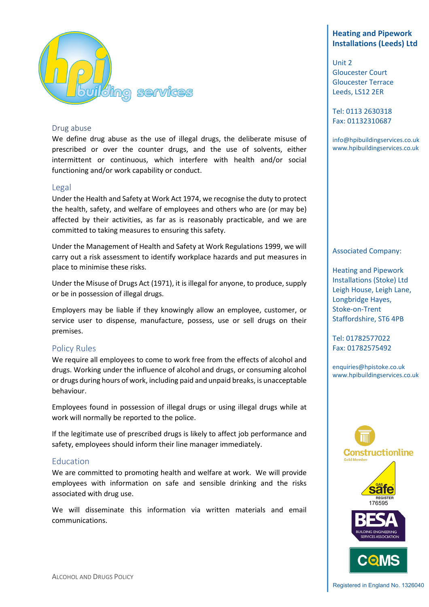

#### Drug abuse

We define drug abuse as the use of illegal drugs, the deliberate misuse of prescribed or over the counter drugs, and the use of solvents, either intermittent or continuous, which interfere with health and/or social functioning and/or work capability or conduct.

#### Legal

Under the Health and Safety at Work Act 1974, we recognise the duty to protect the health, safety, and welfare of employees and others who are (or may be) affected by their activities, as far as is reasonably practicable, and we are committed to taking measures to ensuring this safety.

Under the Management of Health and Safety at Work Regulations 1999, we will carry out a risk assessment to identify workplace hazards and put measures in place to minimise these risks.

Under the Misuse of Drugs Act (1971), it is illegal for anyone, to produce, supply or be in possession of illegal drugs.

Employers may be liable if they knowingly allow an employee, customer, or service user to dispense, manufacture, possess, use or sell drugs on their premises.

## Policy Rules

We require all employees to come to work free from the effects of alcohol and drugs. Working under the influence of alcohol and drugs, or consuming alcohol or drugs during hours of work, including paid and unpaid breaks, is unacceptable behaviour.

Employees found in possession of illegal drugs or using illegal drugs while at work will normally be reported to the police.

If the legitimate use of prescribed drugs is likely to affect job performance and safety, employees should inform their line manager immediately.

## Education

We are committed to promoting health and welfare at work. We will provide employees with information on safe and sensible drinking and the risks associated with drug use.

We will disseminate this information via written materials and email communications.

# **Heating and Pipework Installations (Leeds) Ltd**

Unit 2 Gloucester Court Gloucester Terrace Leeds, LS12 2ER

Tel: 0113 2630318 Fax: 01132310687

info@hpibuildingservices.co.uk www.hpibuildingservices.co.uk

#### Associated Company:

Heating and Pipework Installations (Stoke) Ltd Leigh House, Leigh Lane, Longbridge Hayes, Stoke-on-Trent Staffordshire, ST6 4PB

Tel: 01782577022 Fax: 01782575492

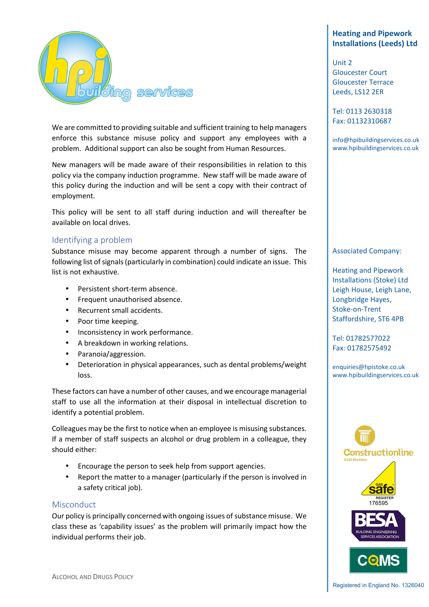

We are committed to providing suitable and sufficient training to help managers enforce this substance misuse policy and support any employees with a problem. Additional support can also be sought from Human Resources.

New managers will be made aware of their responsibilities in relation to this policy via the company induction programme. New staff will be made aware of this policy during the induction and will be sent a copy with their contract of employment.

This policy will be sent to all staff during induction and will thereafter be available on local drives.

## Identifying a problem

Substance misuse may become apparent through a number of signs. The following list of signals (particularly in combination) could indicate an issue. This list is not exhaustive.

- Persistent short-term absence.
- Frequent unauthorised absence.
- Recurrent small accidents.
- Poor time keeping.
- Inconsistency in work performance.
- A breakdown in working relations.
- Paranoia/aggression.
- Deterioration in physical appearances, such as dental problems/weight loss.

These factors can have a number of other causes, and we encourage managerial staff to use all the information at their disposal in intellectual discretion to identify a potential problem.

Colleagues may be the first to notice when an employee is misusing substances. If a member of staff suspects an alcohol or drug problem in a colleague, they should either:

- Encourage the person to seek help from support agencies.
- Report the matter to a manager (particularly if the person is involved in a safety critical job).

#### **Misconduct**

Our policy is principally concerned with ongoing issues of substance misuse. We class these as 'capability issues' as the problem will primarily impact how the individual performs their job.

# **Heating and Pipework Installations (Leeds) Ltd**

Unit 2 Gloucester Court Gloucester Terrace Leeds, LS12 2ER

Tel: 0113 2630318 Fax: 01132310687

info@hpibuildingservices.co.uk www.hpibuildingservices.co.uk

#### Associated Company:

Heating and Pipework Installations (Stoke) Ltd Leigh House, Leigh Lane, Longbridge Hayes, Stoke-on-Trent Staffordshire, ST6 4PB

Tel: 01782577022 Fax: 01782575492

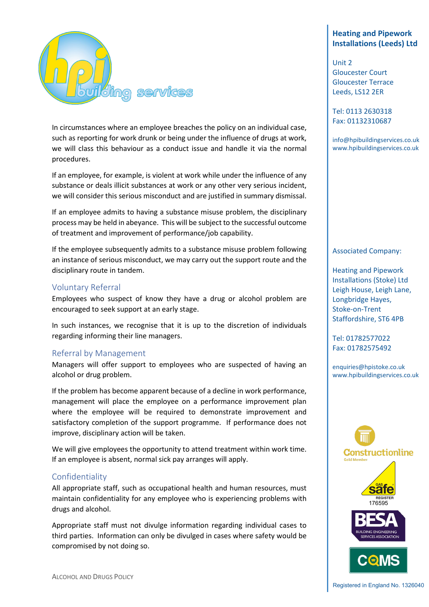

In circumstances where an employee breaches the policy on an individual case, such as reporting for work drunk or being under the influence of drugs at work, we will class this behaviour as a conduct issue and handle it via the normal procedures.

If an employee, for example, is violent at work while under the influence of any substance or deals illicit substances at work or any other very serious incident, we will consider this serious misconduct and are justified in summary dismissal.

If an employee admits to having a substance misuse problem, the disciplinary process may be held in abeyance. This will be subject to the successful outcome of treatment and improvement of performance/job capability.

If the employee subsequently admits to a substance misuse problem following an instance of serious misconduct, we may carry out the support route and the disciplinary route in tandem.

## Voluntary Referral

Employees who suspect of know they have a drug or alcohol problem are encouraged to seek support at an early stage.

In such instances, we recognise that it is up to the discretion of individuals regarding informing their line managers.

# Referral by Management

Managers will offer support to employees who are suspected of having an alcohol or drug problem.

If the problem has become apparent because of a decline in work performance, management will place the employee on a performance improvement plan where the employee will be required to demonstrate improvement and satisfactory completion of the support programme. If performance does not improve, disciplinary action will be taken.

We will give employees the opportunity to attend treatment within work time. If an employee is absent, normal sick pay arranges will apply.

## Confidentiality

All appropriate staff, such as occupational health and human resources, must maintain confidentiality for any employee who is experiencing problems with drugs and alcohol.

Appropriate staff must not divulge information regarding individual cases to third parties. Information can only be divulged in cases where safety would be compromised by not doing so.

# **Heating and Pipework Installations (Leeds) Ltd**

Unit 2 Gloucester Court Gloucester Terrace Leeds, LS12 2ER

Tel: 0113 2630318 Fax: 01132310687

info@hpibuildingservices.co.uk www.hpibuildingservices.co.uk

#### Associated Company:

Heating and Pipework Installations (Stoke) Ltd Leigh House, Leigh Lane, Longbridge Hayes, Stoke-on-Trent Staffordshire, ST6 4PB

Tel: 01782577022 Fax: 01782575492

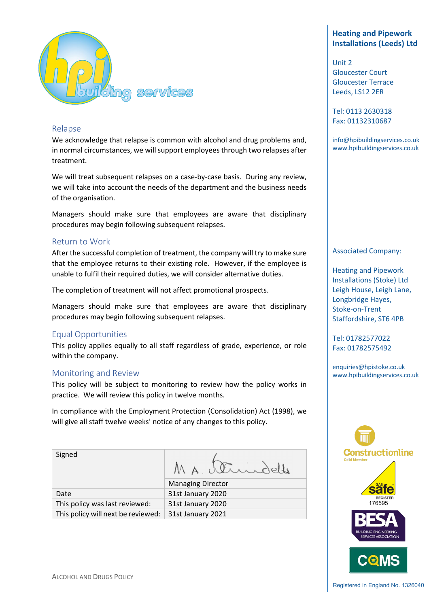

## Relapse

We acknowledge that relapse is common with alcohol and drug problems and, in normal circumstances, we will support employees through two relapses after treatment.

We will treat subsequent relapses on a case-by-case basis. During any review, we will take into account the needs of the department and the business needs of the organisation.

Managers should make sure that employees are aware that disciplinary procedures may begin following subsequent relapses.

## Return to Work

After the successful completion of treatment, the company will try to make sure that the employee returns to their existing role. However, if the employee is unable to fulfil their required duties, we will consider alternative duties.

The completion of treatment will not affect promotional prospects.

Managers should make sure that employees are aware that disciplinary procedures may begin following subsequent relapses.

# Equal Opportunities

This policy applies equally to all staff regardless of grade, experience, or role within the company.

## Monitoring and Review

This policy will be subject to monitoring to review how the policy works in practice. We will review this policy in twelve months.

In compliance with the Employment Protection (Consolidation) Act (1998), we will give all staff twelve weeks' notice of any changes to this policy.

| Signed |                          |
|--------|--------------------------|
|        | <b>Managing Director</b> |
| Date   | 31st January 2020        |

Date 31st January 2020 This policy was last reviewed: 31st January 2020 This policy will next be reviewed:  $\vert$  31st January 2021

# **Heating and Pipework Installations (Leeds) Ltd**

Unit 2 Gloucester Court Gloucester Terrace Leeds, LS12 2ER

Tel: 0113 2630318 Fax: 01132310687

info@hpibuildingservices.co.uk www.hpibuildingservices.co.uk

#### Associated Company:

Heating and Pipework Installations (Stoke) Ltd Leigh House, Leigh Lane, Longbridge Hayes, Stoke-on-Trent Staffordshire, ST6 4PB

Tel: 01782577022 Fax: 01782575492

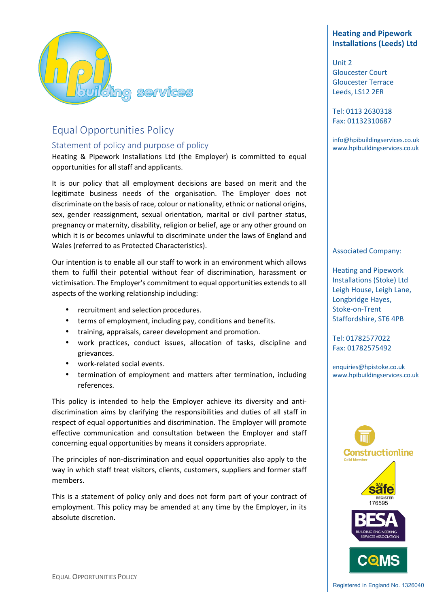

# Equal Opportunities Policy

# Statement of policy and purpose of policy

Heating & Pipework Installations Ltd (the Employer) is committed to equal opportunities for all staff and applicants.

It is our policy that all employment decisions are based on merit and the legitimate business needs of the organisation. The Employer does not discriminate on the basis of race, colour or nationality, ethnic or national origins, sex, gender reassignment, sexual orientation, marital or civil partner status, pregnancy or maternity, disability, religion or belief, age or any other ground on which it is or becomes unlawful to discriminate under the laws of England and Wales (referred to as Protected Characteristics).

Our intention is to enable all our staff to work in an environment which allows them to fulfil their potential without fear of discrimination, harassment or victimisation. The Employer's commitment to equal opportunities extends to all aspects of the working relationship including:

- recruitment and selection procedures.
- terms of employment, including pay, conditions and benefits.
- training, appraisals, career development and promotion.
- work practices, conduct issues, allocation of tasks, discipline and grievances.
- work-related social events.
- termination of employment and matters after termination, including references.

This policy is intended to help the Employer achieve its diversity and antidiscrimination aims by clarifying the responsibilities and duties of all staff in respect of equal opportunities and discrimination. The Employer will promote effective communication and consultation between the Employer and staff concerning equal opportunities by means it considers appropriate.

The principles of non-discrimination and equal opportunities also apply to the way in which staff treat visitors, clients, customers, suppliers and former staff members.

This is a statement of policy only and does not form part of your contract of employment. This policy may be amended at any time by the Employer, in its absolute discretion.

# **Heating and Pipework Installations (Leeds) Ltd**

Unit 2 Gloucester Court Gloucester Terrace Leeds, LS12 2ER

Tel: 0113 2630318 Fax: 01132310687

info@hpibuildingservices.co.uk www.hpibuildingservices.co.uk

## Associated Company:

Heating and Pipework Installations (Stoke) Ltd Leigh House, Leigh Lane, Longbridge Hayes, Stoke-on-Trent Staffordshire, ST6 4PB

Tel: 01782577022 Fax: 01782575492

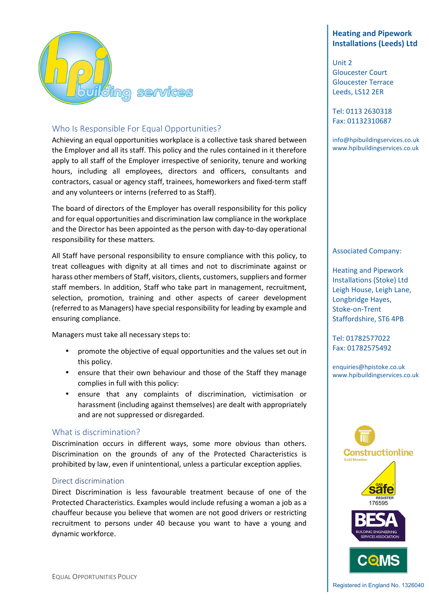

# Who Is Responsible For Equal Opportunities?

Achieving an equal opportunities workplace is a collective task shared between the Employer and all its staff. This policy and the rules contained in it therefore apply to all staff of the Employer irrespective of seniority, tenure and working hours, including all employees, directors and officers, consultants and contractors, casual or agency staff, trainees, homeworkers and fixed-term staff and any volunteers or interns (referred to as Staff).

The board of directors of the Employer has overall responsibility for this policy and for equal opportunities and discrimination law compliance in the workplace and the Director has been appointed as the person with day-to-day operational responsibility for these matters.

All Staff have personal responsibility to ensure compliance with this policy, to treat colleagues with dignity at all times and not to discriminate against or harass other members of Staff, visitors, clients, customers, suppliers and former staff members. In addition, Staff who take part in management, recruitment, selection, promotion, training and other aspects of career development (referred to as Managers) have special responsibility for leading by example and ensuring compliance.

Managers must take all necessary steps to:

- promote the objective of equal opportunities and the values set out in this policy.
- ensure that their own behaviour and those of the Staff they manage complies in full with this policy:
- ensure that any complaints of discrimination, victimisation or harassment (including against themselves) are dealt with appropriately and are not suppressed or disregarded.

#### What is discrimination?

Discrimination occurs in different ways, some more obvious than others. Discrimination on the grounds of any of the Protected Characteristics is prohibited by law, even if unintentional, unless a particular exception applies.

#### Direct discrimination

Direct Discrimination is less favourable treatment because of one of the Protected Characteristics. Examples would include refusing a woman a job as a chauffeur because you believe that women are not good drivers or restricting recruitment to persons under 40 because you want to have a young and dynamic workforce.

# **Heating and Pipework Installations (Leeds) Ltd**

Unit 2 Gloucester Court Gloucester Terrace Leeds, LS12 2ER

Tel: 0113 2630318 Fax: 01132310687

info@hpibuildingservices.co.uk www.hpibuildingservices.co.uk

#### Associated Company:

Heating and Pipework Installations (Stoke) Ltd Leigh House, Leigh Lane, Longbridge Hayes, Stoke-on-Trent Staffordshire, ST6 4PB

Tel: 01782577022 Fax: 01782575492

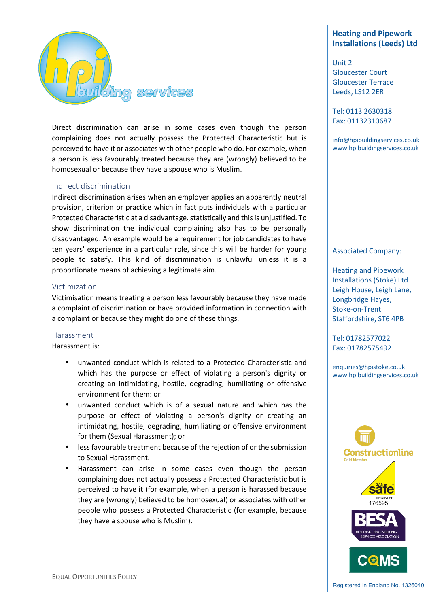

Direct discrimination can arise in some cases even though the person complaining does not actually possess the Protected Characteristic but is perceived to have it or associates with other people who do. For example, when a person is less favourably treated because they are (wrongly) believed to be homosexual or because they have a spouse who is Muslim.

#### Indirect discrimination

Indirect discrimination arises when an employer applies an apparently neutral provision, criterion or practice which in fact puts individuals with a particular Protected Characteristic at a disadvantage. statistically and this is unjustified. To show discrimination the individual complaining also has to be personally disadvantaged. An example would be a requirement for job candidates to have ten years' experience in a particular role, since this will be harder for young people to satisfy. This kind of discrimination is unlawful unless it is a proportionate means of achieving a legitimate aim.

#### Victimization

Victimisation means treating a person less favourably because they have made a complaint of discrimination or have provided information in connection with a complaint or because they might do one of these things.

#### Harassment

Harassment is:

- unwanted conduct which is related to a Protected Characteristic and which has the purpose or effect of violating a person's dignity or creating an intimidating, hostile, degrading, humiliating or offensive environment for them: or
- unwanted conduct which is of a sexual nature and which has the purpose or effect of violating a person's dignity or creating an intimidating, hostile, degrading, humiliating or offensive environment for them (Sexual Harassment); or
- less favourable treatment because of the rejection of or the submission to Sexual Harassment.
- Harassment can arise in some cases even though the person complaining does not actually possess a Protected Characteristic but is perceived to have it (for example, when a person is harassed because they are (wrongly) believed to be homosexual) or associates with other people who possess a Protected Characteristic (for example, because they have a spouse who is Muslim).

# **Heating and Pipework Installations (Leeds) Ltd**

Unit 2 Gloucester Court Gloucester Terrace Leeds, LS12 2ER

Tel: 0113 2630318 Fax: 01132310687

info@hpibuildingservices.co.uk www.hpibuildingservices.co.uk

#### Associated Company:

Heating and Pipework Installations (Stoke) Ltd Leigh House, Leigh Lane, Longbridge Hayes, Stoke-on-Trent Staffordshire, ST6 4PB

Tel: 01782577022 Fax: 01782575492

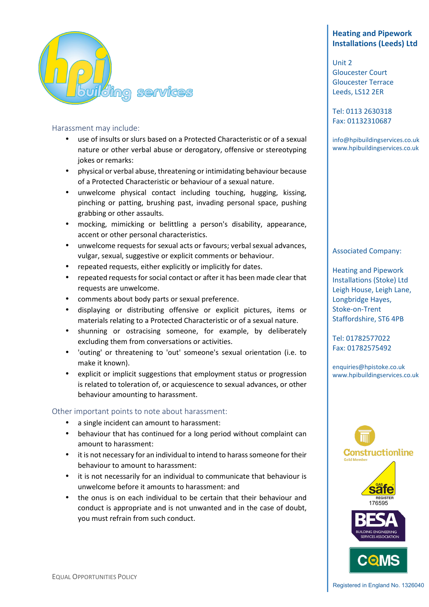

## Harassment may include:

- use of insults or slurs based on a Protected Characteristic or of a sexual nature or other verbal abuse or derogatory, offensive or stereotyping jokes or remarks:
- physical or verbal abuse, threatening or intimidating behaviour because of a Protected Characteristic or behaviour of a sexual nature.
- unwelcome physical contact including touching, hugging, kissing, pinching or patting, brushing past, invading personal space, pushing grabbing or other assaults.
- mocking, mimicking or belittling a person's disability, appearance, accent or other personal characteristics.
- unwelcome requests for sexual acts or favours; verbal sexual advances, vulgar, sexual, suggestive or explicit comments or behaviour.
- repeated requests, either explicitly or implicitly for dates.
- repeated requests for social contact or after it has been made clear that requests are unwelcome.
- comments about body parts or sexual preference.
- displaying or distributing offensive or explicit pictures, items or materials relating to a Protected Characteristic or of a sexual nature.
- shunning or ostracising someone, for example, by deliberately excluding them from conversations or activities.
- 'outing' or threatening to 'out' someone's sexual orientation (i.e. to make it known).
- explicit or implicit suggestions that employment status or progression is related to toleration of, or acquiescence to sexual advances, or other behaviour amounting to harassment.

## Other important points to note about harassment:

- a single incident can amount to harassment:
- behaviour that has continued for a long period without complaint can amount to harassment:
- it is not necessary for an individual to intend to harass someone for their behaviour to amount to harassment:
- it is not necessarily for an individual to communicate that behaviour is unwelcome before it amounts to harassment: and
- the onus is on each individual to be certain that their behaviour and conduct is appropriate and is not unwanted and in the case of doubt, you must refrain from such conduct.

# **Heating and Pipework Installations (Leeds) Ltd**

Unit 2 Gloucester Court Gloucester Terrace Leeds, LS12 2ER

Tel: 0113 2630318 Fax: 01132310687

info@hpibuildingservices.co.uk www.hpibuildingservices.co.uk

## Associated Company:

Heating and Pipework Installations (Stoke) Ltd Leigh House, Leigh Lane, Longbridge Hayes, Stoke-on-Trent Staffordshire, ST6 4PB

Tel: 01782577022 Fax: 01782575492

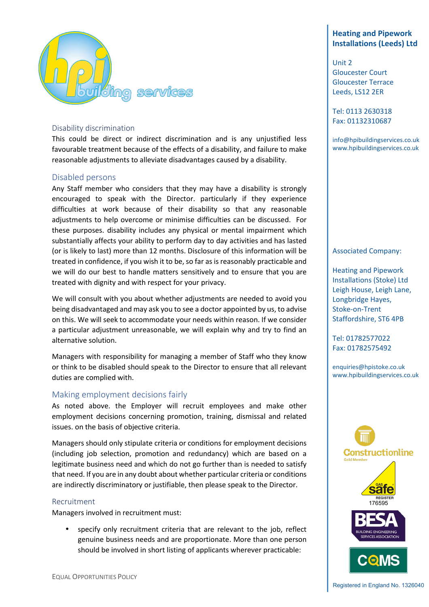

#### Disability discrimination

This could be direct or indirect discrimination and is any unjustified less favourable treatment because of the effects of a disability, and failure to make reasonable adjustments to alleviate disadvantages caused by a disability.

#### Disabled persons

Any Staff member who considers that they may have a disability is strongly encouraged to speak with the Director. particularly if they experience difficulties at work because of their disability so that any reasonable adjustments to help overcome or minimise difficulties can be discussed. For these purposes. disability includes any physical or mental impairment which substantially affects your ability to perform day to day activities and has lasted (or is likely to last) more than 12 months. Disclosure of this information will be treated in confidence, if you wish it to be, so far as is reasonably practicable and we will do our best to handle matters sensitively and to ensure that you are treated with dignity and with respect for your privacy.

We will consult with you about whether adjustments are needed to avoid you being disadvantaged and may ask you to see a doctor appointed by us, to advise on this. We will seek to accommodate your needs within reason. If we consider a particular adjustment unreasonable, we will explain why and try to find an alternative solution.

Managers with responsibility for managing a member of Staff who they know or think to be disabled should speak to the Director to ensure that all relevant duties are complied with.

## Making employment decisions fairly

As noted above. the Employer will recruit employees and make other employment decisions concerning promotion, training, dismissal and related issues. on the basis of objective criteria.

Managers should only stipulate criteria or conditions for employment decisions (including job selection, promotion and redundancy) which are based on a legitimate business need and which do not go further than is needed to satisfy that need. If you are in any doubt about whether particular criteria or conditions are indirectly discriminatory or justifiable, then please speak to the Director.

#### Recruitment

Managers involved in recruitment must:

specify only recruitment criteria that are relevant to the job, reflect genuine business needs and are proportionate. More than one person should be involved in short listing of applicants wherever practicable:

# **Heating and Pipework Installations (Leeds) Ltd**

Unit 2 Gloucester Court Gloucester Terrace Leeds, LS12 2ER

Tel: 0113 2630318 Fax: 01132310687

info@hpibuildingservices.co.uk www.hpibuildingservices.co.uk

#### Associated Company:

Heating and Pipework Installations (Stoke) Ltd Leigh House, Leigh Lane, Longbridge Hayes, Stoke-on-Trent Staffordshire, ST6 4PB

Tel: 01782577022 Fax: 01782575492

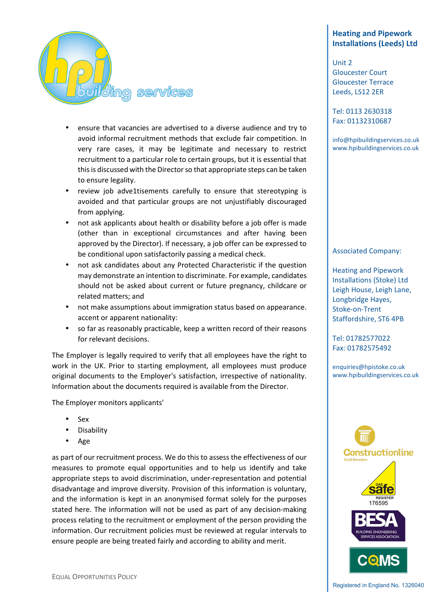

- ensure that vacancies are advertised to a diverse audience and try to avoid informal recruitment methods that exclude fair competition. In very rare cases, it may be legitimate and necessary to restrict recruitment to a particular role to certain groups, but it is essential that this is discussed with the Director so that appropriate steps can be taken to ensure legality.
- review job adve1tisements carefully to ensure that stereotyping is avoided and that particular groups are not unjustifiably discouraged from applying.
- not ask applicants about health or disability before a job offer is made (other than in exceptional circumstances and after having been approved by the Director). If necessary, a job offer can be expressed to be conditional upon satisfactorily passing a medical check.
- not ask candidates about any Protected Characteristic if the question may demonstrate an intention to discriminate. For example, candidates should not be asked about current or future pregnancy, childcare or related matters; and
- not make assumptions about immigration status based on appearance. accent or apparent nationality:
- so far as reasonably practicable, keep a written record of their reasons for relevant decisions.

The Employer is legally required to verify that all employees have the right to work in the UK. Prior to starting employment, all employees must produce original documents to the Employer's satisfaction, irrespective of nationality. Information about the documents required is available from the Director.

The Employer monitors applicants'

- Sex
- **Disability**
- Age

as part of our recruitment process. We do this to assess the effectiveness of our measures to promote equal opportunities and to help us identify and take appropriate steps to avoid discrimination, under-representation and potential disadvantage and improve diversity. Provision of this information is voluntary, and the information is kept in an anonymised format solely for the purposes stated here. The information will not be used as part of any decision-making process relating to the recruitment or employment of the person providing the information. Our recruitment policies must be reviewed at regular intervals to ensure people are being treated fairly and according to ability and merit.

# **Heating and Pipework Installations (Leeds) Ltd**

Unit 2 Gloucester Court Gloucester Terrace Leeds, LS12 2ER

Tel: 0113 2630318 Fax: 01132310687

info@hpibuildingservices.co.uk www.hpibuildingservices.co.uk

#### Associated Company:

Heating and Pipework Installations (Stoke) Ltd Leigh House, Leigh Lane, Longbridge Hayes, Stoke-on-Trent Staffordshire, ST6 4PB

Tel: 01782577022 Fax: 01782575492

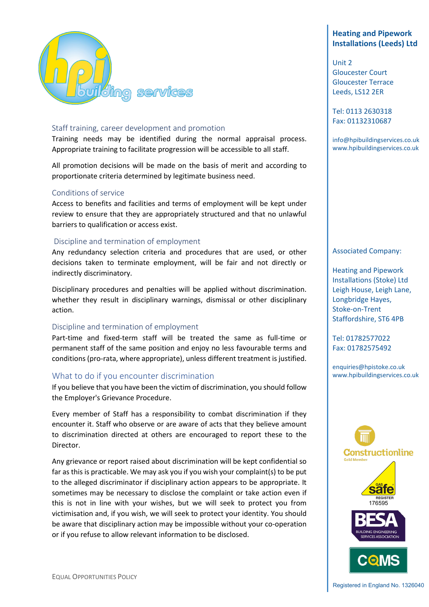

#### Staff training, career development and promotion

Training needs may be identified during the normal appraisal process. Appropriate training to facilitate progression will be accessible to all staff.

All promotion decisions will be made on the basis of merit and according to proportionate criteria determined by legitimate business need.

#### Conditions of service

Access to benefits and facilities and terms of employment will be kept under review to ensure that they are appropriately structured and that no unlawful barriers to qualification or access exist.

#### Discipline and termination of employment

Any redundancy selection criteria and procedures that are used, or other decisions taken to terminate employment, will be fair and not directly or indirectly discriminatory.

Disciplinary procedures and penalties will be applied without discrimination. whether they result in disciplinary warnings, dismissal or other disciplinary action.

#### Discipline and termination of employment

Part-time and fixed-term staff will be treated the same as full-time or permanent staff of the same position and enjoy no less favourable terms and conditions (pro-rata, where appropriate), unless different treatment is justified.

#### What to do if you encounter discrimination

If you believe that you have been the victim of discrimination, you should follow the Employer's Grievance Procedure.

Every member of Staff has a responsibility to combat discrimination if they encounter it. Staff who observe or are aware of acts that they believe amount to discrimination directed at others are encouraged to report these to the Director.

Any grievance or report raised about discrimination will be kept confidential so far as this is practicable. We may ask you if you wish your complaint(s) to be put to the alleged discriminator if disciplinary action appears to be appropriate. It sometimes may be necessary to disclose the complaint or take action even if this is not in line with your wishes, but we will seek to protect you from victimisation and, if you wish, we will seek to protect your identity. You should be aware that disciplinary action may be impossible without your co-operation or if you refuse to allow relevant information to be disclosed.

# **Heating and Pipework Installations (Leeds) Ltd**

Unit 2 Gloucester Court Gloucester Terrace Leeds, LS12 2ER

Tel: 0113 2630318 Fax: 01132310687

info@hpibuildingservices.co.uk www.hpibuildingservices.co.uk

#### Associated Company:

Heating and Pipework Installations (Stoke) Ltd Leigh House, Leigh Lane, Longbridge Hayes, Stoke-on-Trent Staffordshire, ST6 4PB

Tel: 01782577022 Fax: 01782575492

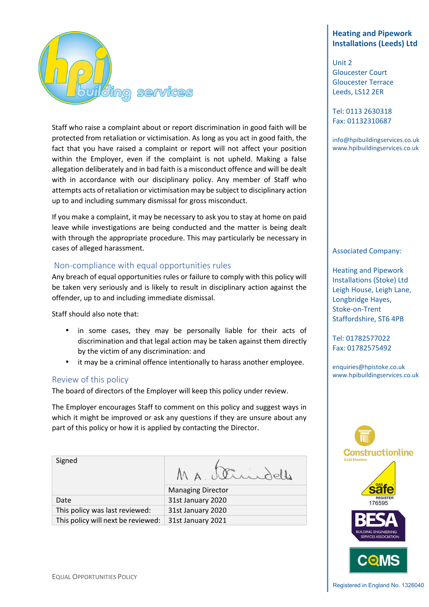

Staff who raise a complaint about or report discrimination in good faith will be protected from retaliation or victimisation. As long as you act in good faith, the fact that you have raised a complaint or report will not affect your position within the Employer, even if the complaint is not upheld. Making a false allegation deliberately and in bad faith is a misconduct offence and will be dealt with in accordance with our disciplinary policy. Any member of Staff who attempts acts of retaliation or victimisation may be subject to disciplinary action up to and including summary dismissal for gross misconduct.

If you make a complaint, it may be necessary to ask you to stay at home on paid leave while investigations are being conducted and the matter is being dealt with through the appropriate procedure. This may particularly be necessary in cases of alleged harassment.

## Non-compliance with equal opportunities rules

Any breach of equal opportunities rules or failure to comply with this policy will be taken very seriously and is likely to result in disciplinary action against the offender, up to and including immediate dismissal.

Staff should also note that:

- in some cases, they may be personally liable for their acts of discrimination and that legal action may be taken against them directly by the victim of any discrimination: and
- it may be a criminal offence intentionally to harass another employee.

#### Review of this policy

Signed

The board of directors of the Employer will keep this policy under review.

The Employer encourages Staff to comment on this policy and suggest ways in which it might be improved or ask any questions if they are unsure about any part of this policy or how it is applied by contacting the Director.

MA Strindelle

Managing Director Date 31st January 2020 This policy was last reviewed: 31st January 2020 This policy will next be reviewed:  $\vert$  31st January 2021

# **Heating and Pipework Installations (Leeds) Ltd**

Unit 2 Gloucester Court Gloucester Terrace Leeds, LS12 2ER

Tel: 0113 2630318 Fax: 01132310687

info@hpibuildingservices.co.uk www.hpibuildingservices.co.uk

#### Associated Company:

Heating and Pipework Installations (Stoke) Ltd Leigh House, Leigh Lane, Longbridge Hayes, Stoke-on-Trent Staffordshire, ST6 4PB

Tel: 01782577022 Fax: 01782575492

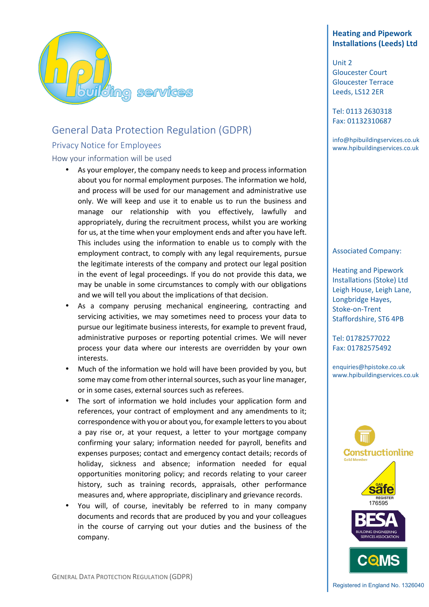

# General Data Protection Regulation (GDPR)

## Privacy Notice for Employees

How your information will be used

- As your employer, the company needs to keep and process information about you for normal employment purposes. The information we hold, and process will be used for our management and administrative use only. We will keep and use it to enable us to run the business and manage our relationship with you effectively, lawfully and appropriately, during the recruitment process, whilst you are working for us, at the time when your employment ends and after you have left. This includes using the information to enable us to comply with the employment contract, to comply with any legal requirements, pursue the legitimate interests of the company and protect our legal position in the event of legal proceedings. If you do not provide this data, we may be unable in some circumstances to comply with our obligations and we will tell you about the implications of that decision.
- As a company perusing mechanical engineering, contracting and servicing activities, we may sometimes need to process your data to pursue our legitimate business interests, for example to prevent fraud, administrative purposes or reporting potential crimes. We will never process your data where our interests are overridden by your own interests.
- Much of the information we hold will have been provided by you, but some may come from other internal sources, such as your line manager, or in some cases, external sources such as referees.
- The sort of information we hold includes your application form and references, your contract of employment and any amendments to it; correspondence with you or about you, for example letters to you about a pay rise or, at your request, a letter to your mortgage company confirming your salary; information needed for payroll, benefits and expenses purposes; contact and emergency contact details; records of holiday, sickness and absence; information needed for equal opportunities monitoring policy; and records relating to your career history, such as training records, appraisals, other performance measures and, where appropriate, disciplinary and grievance records.
- You will, of course, inevitably be referred to in many company documents and records that are produced by you and your colleagues in the course of carrying out your duties and the business of the company.

# **Heating and Pipework Installations (Leeds) Ltd**

Unit 2 Gloucester Court Gloucester Terrace Leeds, LS12 2ER

Tel: 0113 2630318 Fax: 01132310687

info@hpibuildingservices.co.uk www.hpibuildingservices.co.uk

#### Associated Company:

Heating and Pipework Installations (Stoke) Ltd Leigh House, Leigh Lane, Longbridge Hayes, Stoke-on-Trent Staffordshire, ST6 4PB

Tel: 01782577022 Fax: 01782575492

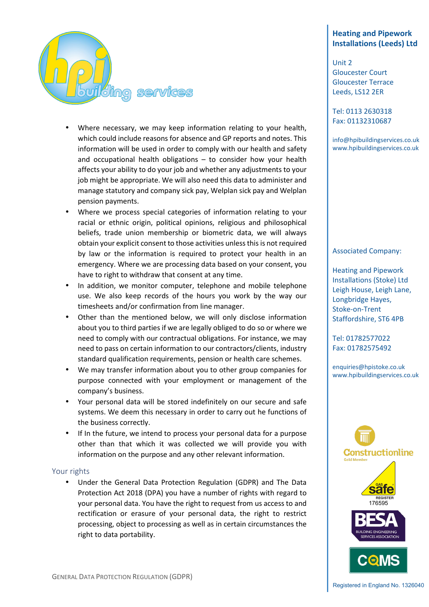

- Where necessary, we may keep information relating to your health, which could include reasons for absence and GP reports and notes. This information will be used in order to comply with our health and safety and occupational health obligations – to consider how your health affects your ability to do your job and whether any adjustments to your job might be appropriate. We will also need this data to administer and manage statutory and company sick pay, Welplan sick pay and Welplan pension payments.
- Where we process special categories of information relating to your racial or ethnic origin, political opinions, religious and philosophical beliefs, trade union membership or biometric data, we will always obtain your explicit consent to those activities unless this is not required by law or the information is required to protect your health in an emergency. Where we are processing data based on your consent, you have to right to withdraw that consent at any time.
- In addition, we monitor computer, telephone and mobile telephone use. We also keep records of the hours you work by the way our timesheets and/or confirmation from line manager.
- Other than the mentioned below, we will only disclose information about you to third parties if we are legally obliged to do so or where we need to comply with our contractual obligations. For instance, we may need to pass on certain information to our contractors/clients, industry standard qualification requirements, pension or health care schemes.
- We may transfer information about you to other group companies for purpose connected with your employment or management of the company's business.
- Your personal data will be stored indefinitely on our secure and safe systems. We deem this necessary in order to carry out he functions of the business correctly.
- If In the future, we intend to process your personal data for a purpose other than that which it was collected we will provide you with information on the purpose and any other relevant information.

#### Your rights

• Under the General Data Protection Regulation (GDPR) and The Data Protection Act 2018 (DPA) you have a number of rights with regard to your personal data. You have the right to request from us access to and rectification or erasure of your personal data, the right to restrict processing, object to processing as well as in certain circumstances the right to data portability.

# **Heating and Pipework Installations (Leeds) Ltd**

Unit 2 Gloucester Court Gloucester Terrace Leeds, LS12 2ER

Tel: 0113 2630318 Fax: 01132310687

info@hpibuildingservices.co.uk www.hpibuildingservices.co.uk

#### Associated Company:

Heating and Pipework Installations (Stoke) Ltd Leigh House, Leigh Lane, Longbridge Hayes, Stoke-on-Trent Staffordshire, ST6 4PB

Tel: 01782577022 Fax: 01782575492

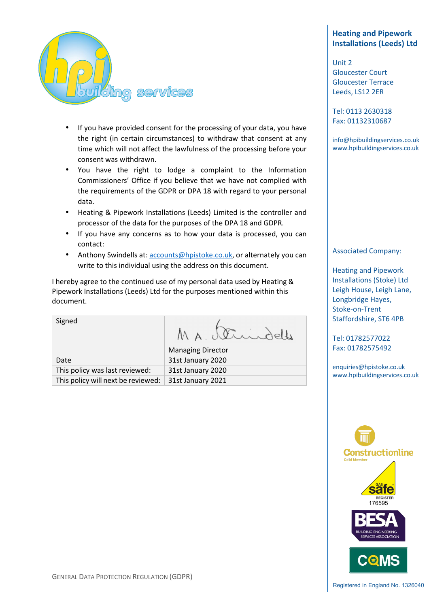

- If you have provided consent for the processing of your data, you have the right (in certain circumstances) to withdraw that consent at any time which will not affect the lawfulness of the processing before your consent was withdrawn.
- You have the right to lodge a complaint to the Information Commissioners' Office if you believe that we have not complied with the requirements of the GDPR or DPA 18 with regard to your personal data.
- Heating & Pipework Installations (Leeds) Limited is the controller and processor of the data for the purposes of the DPA 18 and GDPR.
- If you have any concerns as to how your data is processed, you can contact:
- Anthony Swindells at: accounts@hpistoke.co.uk, or alternately you can write to this individual using the address on this document.

I hereby agree to the continued use of my personal data used by Heating & Pipework Installations (Leeds) Ltd for the purposes mentioned within this document.

Signed MA Strindelle Managing Director

Date 31st January 2020 This policy was last reviewed: 31st January 2020 This policy will next be reviewed:  $\vert$  31st January 2021

# **Heating and Pipework Installations (Leeds) Ltd**

Unit 2 Gloucester Court Gloucester Terrace Leeds, LS12 2ER

Tel: 0113 2630318 Fax: 01132310687

info@hpibuildingservices.co.uk www.hpibuildingservices.co.uk

## Associated Company:

Heating and Pipework Installations (Stoke) Ltd Leigh House, Leigh Lane, Longbridge Hayes, Stoke-on-Trent Staffordshire, ST6 4PB

Tel: 01782577022 Fax: 01782575492

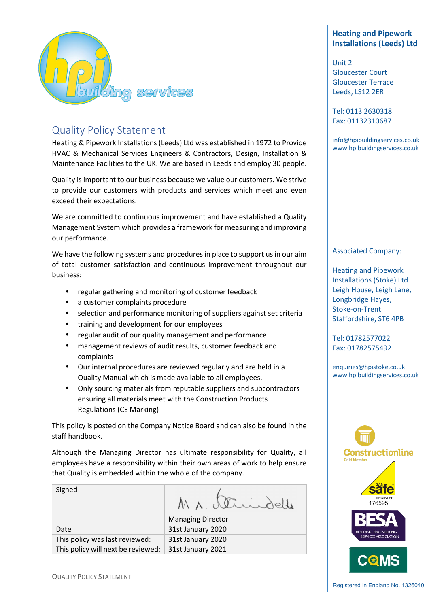

# Quality Policy Statement

Heating & Pipework Installations (Leeds) Ltd was established in 1972 to Provide HVAC & Mechanical Services Engineers & Contractors, Design, Installation & Maintenance Facilities to the UK. We are based in Leeds and employ 30 people.

Quality is important to our business because we value our customers. We strive to provide our customers with products and services which meet and even exceed their expectations.

We are committed to continuous improvement and have established a Quality Management System which provides a framework for measuring and improving our performance.

We have the following systems and procedures in place to support us in our aim of total customer satisfaction and continuous improvement throughout our business:

- regular gathering and monitoring of customer feedback
- a customer complaints procedure
- selection and performance monitoring of suppliers against set criteria
- training and development for our employees
- regular audit of our quality management and performance
- management reviews of audit results, customer feedback and complaints
- Our internal procedures are reviewed regularly and are held in a Quality Manual which is made available to all employees.
- Only sourcing materials from reputable suppliers and subcontractors ensuring all materials meet with the Construction Products Regulations (CE Marking)

This policy is posted on the Company Notice Board and can also be found in the staff handbook.

Although the Managing Director has ultimate responsibility for Quality, all employees have a responsibility within their own areas of work to help ensure that Quality is embedded within the whole of the company.

| Signed                             | MA, Verindelle           |
|------------------------------------|--------------------------|
|                                    | <b>Managing Director</b> |
| Date                               | 31st January 2020        |
| This policy was last reviewed:     | 31st January 2020        |
| This policy will next be reviewed: | 31st January 2021        |
|                                    |                          |

# **Heating and Pipework Installations (Leeds) Ltd**

Unit 2 Gloucester Court Gloucester Terrace Leeds, LS12 2ER

Tel: 0113 2630318 Fax: 01132310687

info@hpibuildingservices.co.uk www.hpibuildingservices.co.uk

## Associated Company:

Heating and Pipework Installations (Stoke) Ltd Leigh House, Leigh Lane, Longbridge Hayes, Stoke-on-Trent Staffordshire, ST6 4PB

Tel: 01782577022 Fax: 01782575492

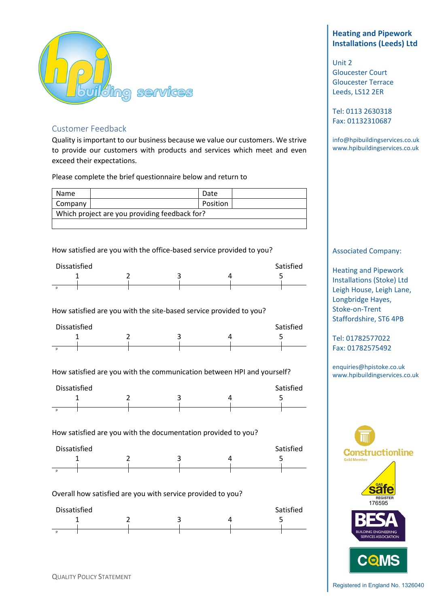

## Customer Feedback

Quality is important to our business because we value our customers. We strive to provide our customers with products and services which meet and even exceed their expectations.

Please complete the brief questionnaire below and return to

| Name                                          |  | Date     |  |  |  |
|-----------------------------------------------|--|----------|--|--|--|
| Company                                       |  | Position |  |  |  |
| Which project are you providing feedback for? |  |          |  |  |  |

How satisfied are you with the office-based service provided to you?

| Dissatisfied | Satisfied |  |  |
|--------------|-----------|--|--|
|              | ∽         |  |  |
|              |           |  |  |

How satisfied are you with the site-based service provided to you?

| Dissatisfied<br>Satisfied |  |  |  |  |  |  |
|---------------------------|--|--|--|--|--|--|
|                           |  |  |  |  |  |  |
|                           |  |  |  |  |  |  |
|                           |  |  |  |  |  |  |

How satisfied are you with the communication between HPI and yourself?

| Dissatisfied |  |  |  |  | Satisfied |
|--------------|--|--|--|--|-----------|
|              |  |  |  |  |           |
|              |  |  |  |  |           |

How satisfied are you with the documentation provided to you?



## Overall how satisfied are you with service provided to you?



# **Heating and Pipework Installations (Leeds) Ltd**

Unit 2 Gloucester Court Gloucester Terrace Leeds, LS12 2ER

Tel: 0113 2630318 Fax: 01132310687

info@hpibuildingservices.co.uk www.hpibuildingservices.co.uk

#### Associated Company:

Heating and Pipework Installations (Stoke) Ltd Leigh House, Leigh Lane, Longbridge Hayes, Stoke-on-Trent Staffordshire, ST6 4PB

Tel: 01782577022 Fax: 01782575492

enquiries@hpistoke.co.uk www.hpibuildingservices.co.uk

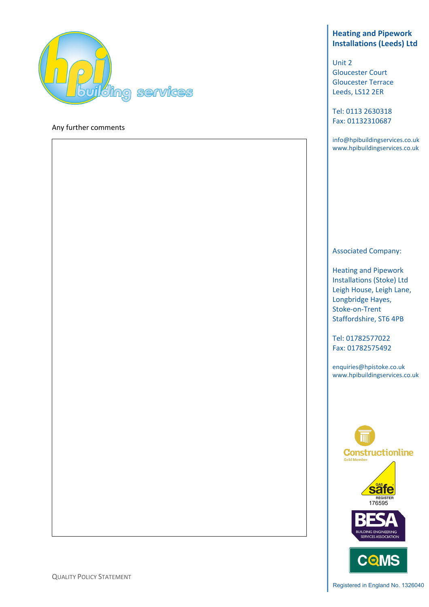

#### Any further comments

# **Heating and Pipework Installations (Leeds) Ltd**

Unit 2 Gloucester Court Gloucester Terrace Leeds, LS12 2ER

Tel: 0113 2630318 Fax: 01132310687

info@hpibuildingservices.co.uk www.hpibuildingservices.co.uk

#### Associated Company:

Heating and Pipework Installations (Stoke) Ltd Leigh House, Leigh Lane, Longbridge Hayes, Stoke-on-Trent Staffordshire, ST6 4PB

Tel: 01782577022 Fax: 01782575492



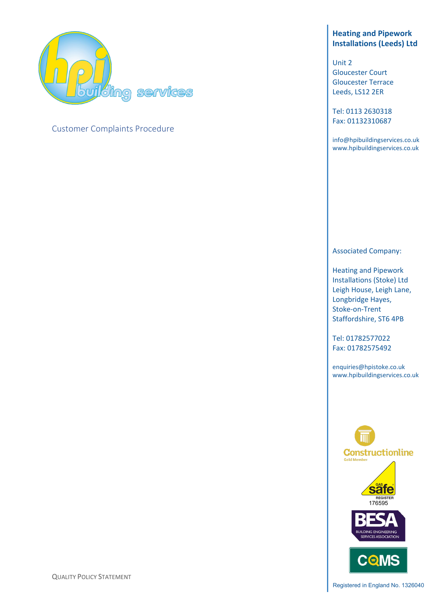

# Customer Complaints Procedure

# **Heating and Pipework Installations (Leeds) Ltd**

Unit 2 Gloucester Court Gloucester Terrace Leeds, LS12 2ER

Tel: 0113 2630318 Fax: 01132310687

info@hpibuildingservices.co.uk www.hpibuildingservices.co.uk

## Associated Company:

Heating and Pipework Installations (Stoke) Ltd Leigh House, Leigh Lane, Longbridge Hayes, Stoke-on-Trent Staffordshire, ST6 4PB

Tel: 01782577022 Fax: 01782575492



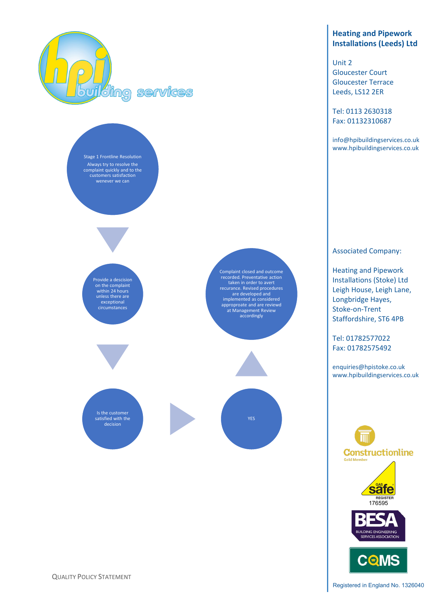

Stage 1 Frontline Resolution Always try to resolve the complaint quickly and to the customers satisfaction wenever we can





Is the customer satisfied with the decision

Complaint closed and outcome recorded. Preventative action taken in order to avert recurance. Revised procedures are developed and implemented as considered approproate and are reviewd at Management Review accordingly



# **Heating and Pipework Installations (Leeds) Ltd**

Unit 2 Gloucester Court Gloucester Terrace Leeds, LS12 2ER

Tel: 0113 2630318 Fax: 01132310687

info@hpibuildingservices.co.uk www.hpibuildingservices.co.uk

Associated Company:

Heating and Pipework Installations (Stoke) Ltd Leigh House, Leigh Lane, Longbridge Hayes, Stoke-on-Trent Staffordshire, ST6 4PB

Tel: 01782577022 Fax: 01782575492

enquiries@hpistoke.co.uk www.hpibuildingservices.co.uk





QUALITY POLICY STATEMENT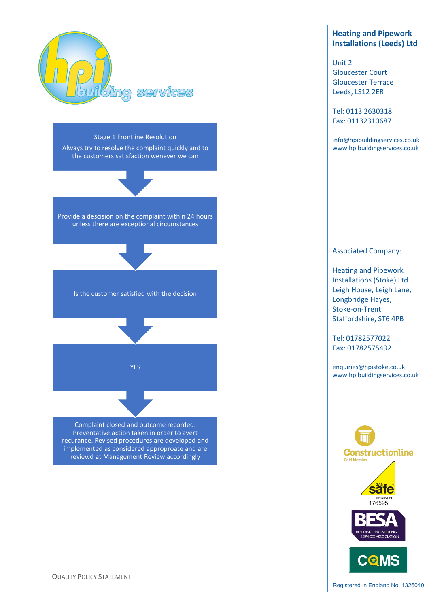

Stage 1 Frontline Resolution Always try to resolve the complaint quickly and to

the customers satisfaction wenever we can

Provide a descision on the complaint within 24 hours unless there are exceptional circumstances

Is the customer satisfied with the decision

YES

Complaint closed and outcome recorded. Preventative action taken in order to avert recurance. Revised procedures are developed and implemented as considered approproate and are reviewd at Management Review accordingly

**Heating and Pipework Installations (Leeds) Ltd**

Unit 2 Gloucester Court Gloucester Terrace Leeds, LS12 2ER

Tel: 0113 2630318 Fax: 01132310687

info@hpibuildingservices.co.uk www.hpibuildingservices.co.uk

# Associated Company:

Heating and Pipework Installations (Stoke) Ltd Leigh House, Leigh Lane, Longbridge Hayes, Stoke-on-Trent Staffordshire, ST6 4PB

Tel: 01782577022 Fax: 01782575492

enquiries@hpistoke.co.uk www.hpibuildingservices.co.uk



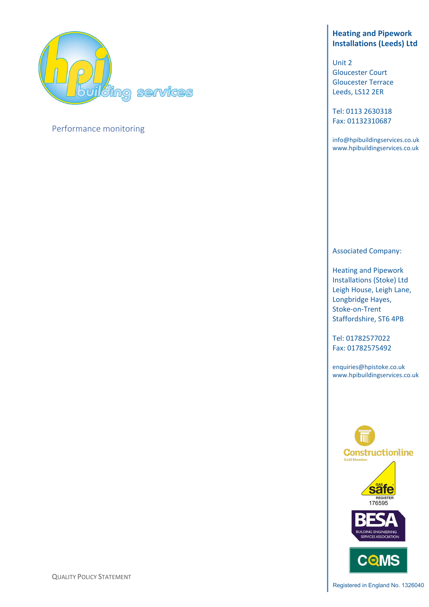

# Performance monitoring

# **Heating and Pipework Installations (Leeds) Ltd**

Unit 2 Gloucester Court Gloucester Terrace Leeds, LS12 2ER

Tel: 0113 2630318 Fax: 01132310687

info@hpibuildingservices.co.uk www.hpibuildingservices.co.uk

## Associated Company:

Heating and Pipework Installations (Stoke) Ltd Leigh House, Leigh Lane, Longbridge Hayes, Stoke-on-Trent Staffordshire, ST6 4PB

Tel: 01782577022 Fax: 01782575492



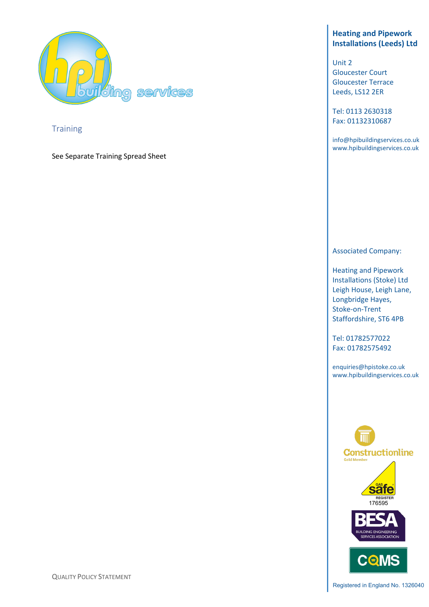

**Training** 

See Separate Training Spread Sheet

# **Heating and Pipework Installations (Leeds) Ltd**

Unit 2 Gloucester Court Gloucester Terrace Leeds, LS12 2ER

Tel: 0113 2630318 Fax: 01132310687

info@hpibuildingservices.co.uk www.hpibuildingservices.co.uk

## Associated Company:

Heating and Pipework Installations (Stoke) Ltd Leigh House, Leigh Lane, Longbridge Hayes, Stoke-on-Trent Staffordshire, ST6 4PB

Tel: 01782577022 Fax: 01782575492



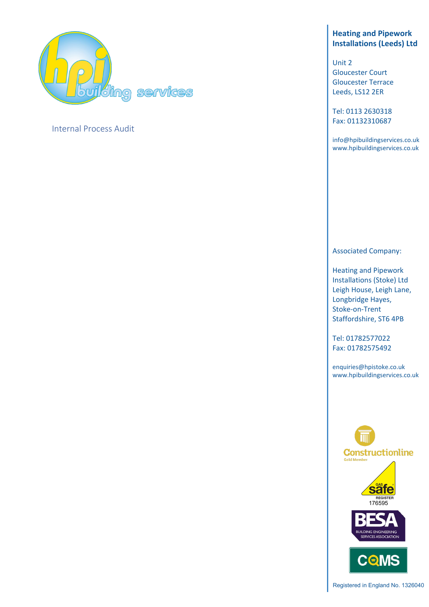

# Internal Process Audit

# **Heating and Pipework Installations (Leeds) Ltd**

Unit 2 Gloucester Court Gloucester Terrace Leeds, LS12 2ER

Tel: 0113 2630318 Fax: 01132310687

info@hpibuildingservices.co.uk www.hpibuildingservices.co.uk

## Associated Company:

Heating and Pipework Installations (Stoke) Ltd Leigh House, Leigh Lane, Longbridge Hayes, Stoke-on-Trent Staffordshire, ST6 4PB

Tel: 01782577022 Fax: 01782575492

enquiries@hpistoke.co.uk www.hpibuildingservices.co.uk